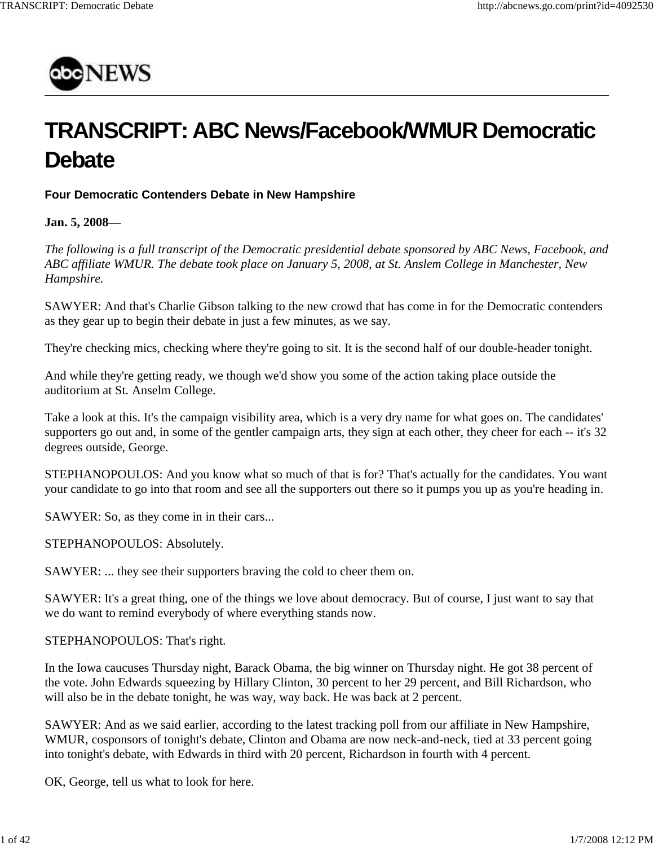

# **TRANSCRIPT: ABC News/Facebook/WMUR Democratic Debate**

**Four Democratic Contenders Debate in New Hampshire**

# **Jan. 5, 2008—**

*The following is a full transcript of the Democratic presidential debate sponsored by ABC News, Facebook, and ABC affiliate WMUR. The debate took place on January 5, 2008, at St. Anslem College in Manchester, New Hampshire.*

SAWYER: And that's Charlie Gibson talking to the new crowd that has come in for the Democratic contenders as they gear up to begin their debate in just a few minutes, as we say.

They're checking mics, checking where they're going to sit. It is the second half of our double-header tonight.

And while they're getting ready, we though we'd show you some of the action taking place outside the auditorium at St. Anselm College.

Take a look at this. It's the campaign visibility area, which is a very dry name for what goes on. The candidates' supporters go out and, in some of the gentler campaign arts, they sign at each other, they cheer for each -- it's 32 degrees outside, George.

STEPHANOPOULOS: And you know what so much of that is for? That's actually for the candidates. You want your candidate to go into that room and see all the supporters out there so it pumps you up as you're heading in.

SAWYER: So, as they come in in their cars...

STEPHANOPOULOS: Absolutely.

SAWYER: ... they see their supporters braving the cold to cheer them on.

SAWYER: It's a great thing, one of the things we love about democracy. But of course, I just want to say that we do want to remind everybody of where everything stands now.

STEPHANOPOULOS: That's right.

In the Iowa caucuses Thursday night, Barack Obama, the big winner on Thursday night. He got 38 percent of the vote. John Edwards squeezing by Hillary Clinton, 30 percent to her 29 percent, and Bill Richardson, who will also be in the debate tonight, he was way, way back. He was back at 2 percent.

SAWYER: And as we said earlier, according to the latest tracking poll from our affiliate in New Hampshire, WMUR, cosponsors of tonight's debate, Clinton and Obama are now neck-and-neck, tied at 33 percent going into tonight's debate, with Edwards in third with 20 percent, Richardson in fourth with 4 percent.

OK, George, tell us what to look for here.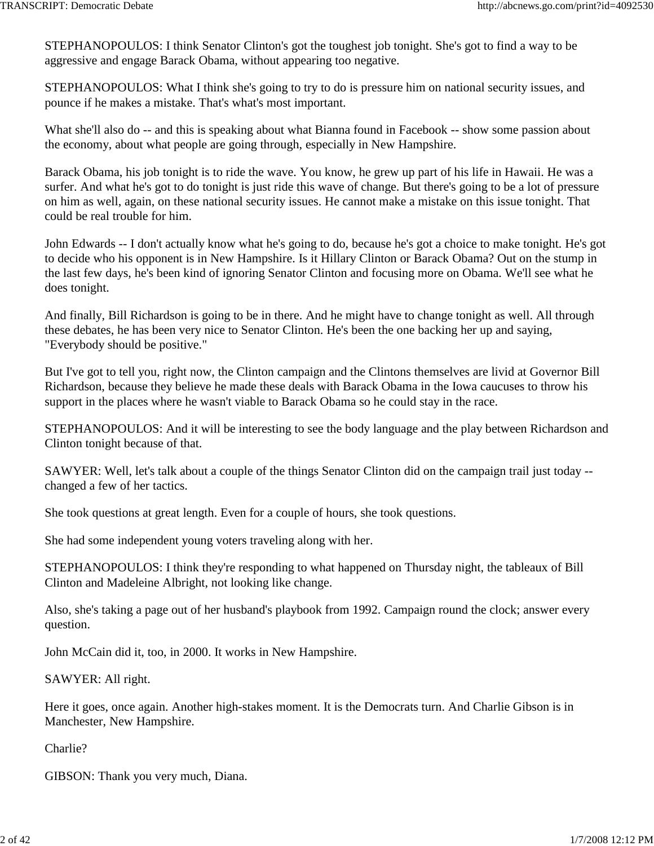STEPHANOPOULOS: I think Senator Clinton's got the toughest job tonight. She's got to find a way to be aggressive and engage Barack Obama, without appearing too negative.

STEPHANOPOULOS: What I think she's going to try to do is pressure him on national security issues, and pounce if he makes a mistake. That's what's most important.

What she'll also do -- and this is speaking about what Bianna found in Facebook -- show some passion about the economy, about what people are going through, especially in New Hampshire.

Barack Obama, his job tonight is to ride the wave. You know, he grew up part of his life in Hawaii. He was a surfer. And what he's got to do tonight is just ride this wave of change. But there's going to be a lot of pressure on him as well, again, on these national security issues. He cannot make a mistake on this issue tonight. That could be real trouble for him.

John Edwards -- I don't actually know what he's going to do, because he's got a choice to make tonight. He's got to decide who his opponent is in New Hampshire. Is it Hillary Clinton or Barack Obama? Out on the stump in the last few days, he's been kind of ignoring Senator Clinton and focusing more on Obama. We'll see what he does tonight.

And finally, Bill Richardson is going to be in there. And he might have to change tonight as well. All through these debates, he has been very nice to Senator Clinton. He's been the one backing her up and saying, "Everybody should be positive."

But I've got to tell you, right now, the Clinton campaign and the Clintons themselves are livid at Governor Bill Richardson, because they believe he made these deals with Barack Obama in the Iowa caucuses to throw his support in the places where he wasn't viable to Barack Obama so he could stay in the race.

STEPHANOPOULOS: And it will be interesting to see the body language and the play between Richardson and Clinton tonight because of that.

SAWYER: Well, let's talk about a couple of the things Senator Clinton did on the campaign trail just today - changed a few of her tactics.

She took questions at great length. Even for a couple of hours, she took questions.

She had some independent young voters traveling along with her.

STEPHANOPOULOS: I think they're responding to what happened on Thursday night, the tableaux of Bill Clinton and Madeleine Albright, not looking like change.

Also, she's taking a page out of her husband's playbook from 1992. Campaign round the clock; answer every question.

John McCain did it, too, in 2000. It works in New Hampshire.

SAWYER: All right.

Here it goes, once again. Another high-stakes moment. It is the Democrats turn. And Charlie Gibson is in Manchester, New Hampshire.

Charlie?

GIBSON: Thank you very much, Diana.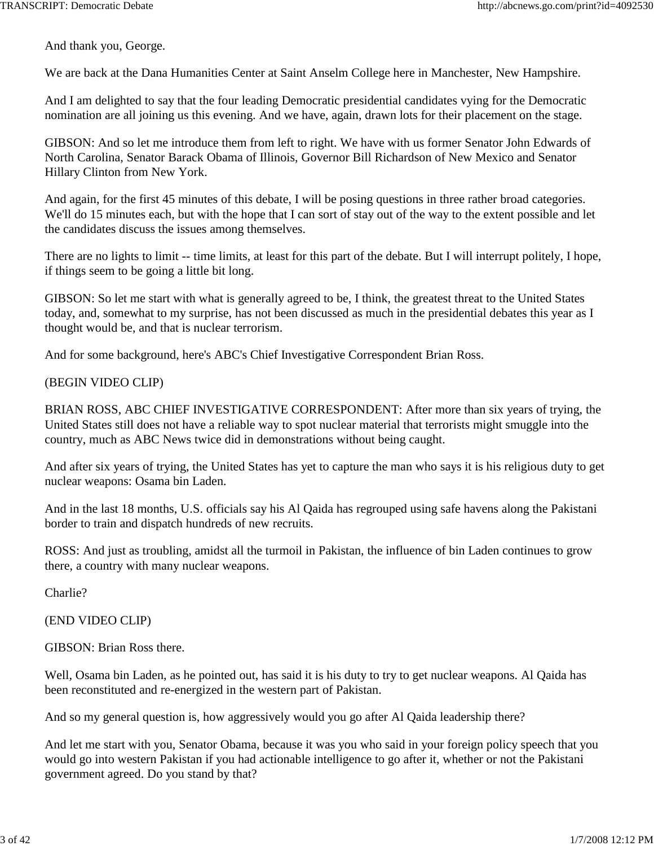And thank you, George.

We are back at the Dana Humanities Center at Saint Anselm College here in Manchester, New Hampshire.

And I am delighted to say that the four leading Democratic presidential candidates vying for the Democratic nomination are all joining us this evening. And we have, again, drawn lots for their placement on the stage.

GIBSON: And so let me introduce them from left to right. We have with us former Senator John Edwards of North Carolina, Senator Barack Obama of Illinois, Governor Bill Richardson of New Mexico and Senator Hillary Clinton from New York.

And again, for the first 45 minutes of this debate, I will be posing questions in three rather broad categories. We'll do 15 minutes each, but with the hope that I can sort of stay out of the way to the extent possible and let the candidates discuss the issues among themselves.

There are no lights to limit -- time limits, at least for this part of the debate. But I will interrupt politely, I hope, if things seem to be going a little bit long.

GIBSON: So let me start with what is generally agreed to be, I think, the greatest threat to the United States today, and, somewhat to my surprise, has not been discussed as much in the presidential debates this year as I thought would be, and that is nuclear terrorism.

And for some background, here's ABC's Chief Investigative Correspondent Brian Ross.

(BEGIN VIDEO CLIP)

BRIAN ROSS, ABC CHIEF INVESTIGATIVE CORRESPONDENT: After more than six years of trying, the United States still does not have a reliable way to spot nuclear material that terrorists might smuggle into the country, much as ABC News twice did in demonstrations without being caught.

And after six years of trying, the United States has yet to capture the man who says it is his religious duty to get nuclear weapons: Osama bin Laden.

And in the last 18 months, U.S. officials say his Al Qaida has regrouped using safe havens along the Pakistani border to train and dispatch hundreds of new recruits.

ROSS: And just as troubling, amidst all the turmoil in Pakistan, the influence of bin Laden continues to grow there, a country with many nuclear weapons.

Charlie?

(END VIDEO CLIP)

GIBSON: Brian Ross there.

Well, Osama bin Laden, as he pointed out, has said it is his duty to try to get nuclear weapons. Al Qaida has been reconstituted and re-energized in the western part of Pakistan.

And so my general question is, how aggressively would you go after Al Qaida leadership there?

And let me start with you, Senator Obama, because it was you who said in your foreign policy speech that you would go into western Pakistan if you had actionable intelligence to go after it, whether or not the Pakistani government agreed. Do you stand by that?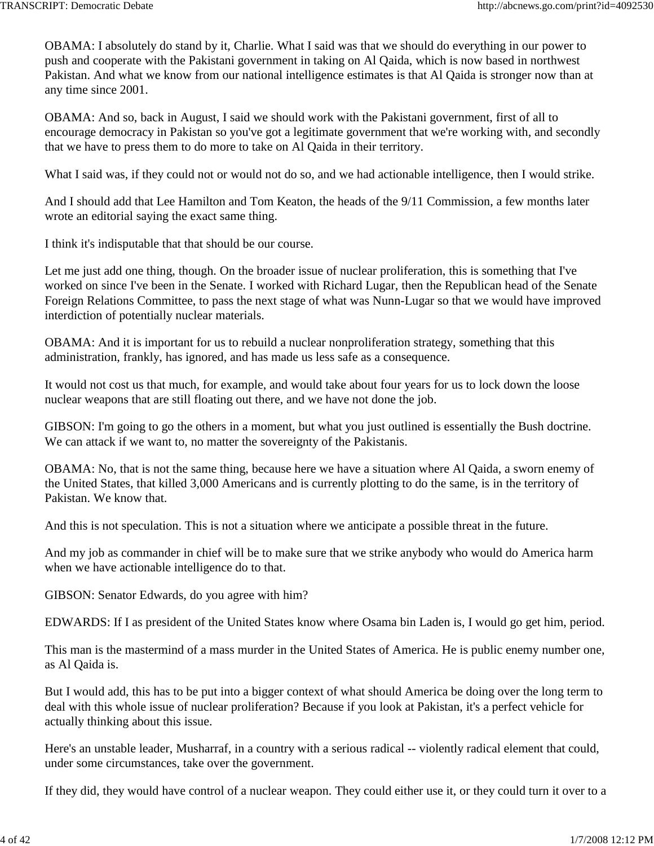OBAMA: I absolutely do stand by it, Charlie. What I said was that we should do everything in our power to push and cooperate with the Pakistani government in taking on Al Qaida, which is now based in northwest Pakistan. And what we know from our national intelligence estimates is that Al Qaida is stronger now than at any time since 2001.

OBAMA: And so, back in August, I said we should work with the Pakistani government, first of all to encourage democracy in Pakistan so you've got a legitimate government that we're working with, and secondly that we have to press them to do more to take on Al Qaida in their territory.

What I said was, if they could not or would not do so, and we had actionable intelligence, then I would strike.

And I should add that Lee Hamilton and Tom Keaton, the heads of the 9/11 Commission, a few months later wrote an editorial saying the exact same thing.

I think it's indisputable that that should be our course.

Let me just add one thing, though. On the broader issue of nuclear proliferation, this is something that I've worked on since I've been in the Senate. I worked with Richard Lugar, then the Republican head of the Senate Foreign Relations Committee, to pass the next stage of what was Nunn-Lugar so that we would have improved interdiction of potentially nuclear materials.

OBAMA: And it is important for us to rebuild a nuclear nonproliferation strategy, something that this administration, frankly, has ignored, and has made us less safe as a consequence.

It would not cost us that much, for example, and would take about four years for us to lock down the loose nuclear weapons that are still floating out there, and we have not done the job.

GIBSON: I'm going to go the others in a moment, but what you just outlined is essentially the Bush doctrine. We can attack if we want to, no matter the sovereignty of the Pakistanis.

OBAMA: No, that is not the same thing, because here we have a situation where Al Qaida, a sworn enemy of the United States, that killed 3,000 Americans and is currently plotting to do the same, is in the territory of Pakistan. We know that.

And this is not speculation. This is not a situation where we anticipate a possible threat in the future.

And my job as commander in chief will be to make sure that we strike anybody who would do America harm when we have actionable intelligence do to that.

GIBSON: Senator Edwards, do you agree with him?

EDWARDS: If I as president of the United States know where Osama bin Laden is, I would go get him, period.

This man is the mastermind of a mass murder in the United States of America. He is public enemy number one, as Al Qaida is.

But I would add, this has to be put into a bigger context of what should America be doing over the long term to deal with this whole issue of nuclear proliferation? Because if you look at Pakistan, it's a perfect vehicle for actually thinking about this issue.

Here's an unstable leader, Musharraf, in a country with a serious radical -- violently radical element that could, under some circumstances, take over the government.

If they did, they would have control of a nuclear weapon. They could either use it, or they could turn it over to a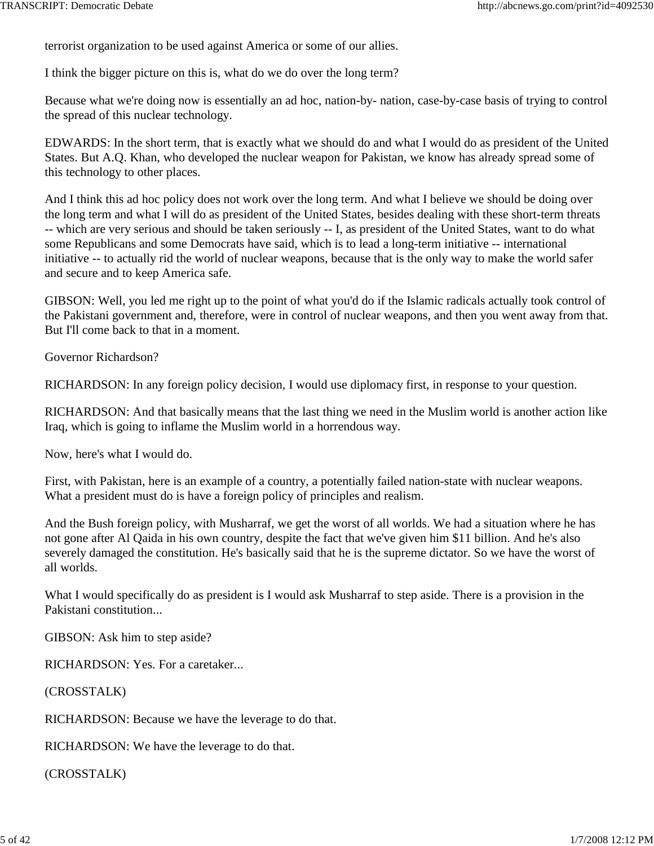terrorist organization to be used against America or some of our allies.

I think the bigger picture on this is, what do we do over the long term?

Because what we're doing now is essentially an ad hoc, nation-by- nation, case-by-case basis of trying to control the spread of this nuclear technology.

EDWARDS: In the short term, that is exactly what we should do and what I would do as president of the United States. But A.Q. Khan, who developed the nuclear weapon for Pakistan, we know has already spread some of this technology to other places.

And I think this ad hoc policy does not work over the long term. And what I believe we should be doing over the long term and what I will do as president of the United States, besides dealing with these short-term threats -- which are very serious and should be taken seriously -- I, as president of the United States, want to do what some Republicans and some Democrats have said, which is to lead a long-term initiative -- international initiative -- to actually rid the world of nuclear weapons, because that is the only way to make the world safer and secure and to keep America safe.

GIBSON: Well, you led me right up to the point of what you'd do if the Islamic radicals actually took control of the Pakistani government and, therefore, were in control of nuclear weapons, and then you went away from that. But I'll come back to that in a moment.

Governor Richardson?

RICHARDSON: In any foreign policy decision, I would use diplomacy first, in response to your question.

RICHARDSON: And that basically means that the last thing we need in the Muslim world is another action like Iraq, which is going to inflame the Muslim world in a horrendous way.

Now, here's what I would do.

First, with Pakistan, here is an example of a country, a potentially failed nation-state with nuclear weapons. What a president must do is have a foreign policy of principles and realism.

And the Bush foreign policy, with Musharraf, we get the worst of all worlds. We had a situation where he has not gone after Al Qaida in his own country, despite the fact that we've given him \$11 billion. And he's also severely damaged the constitution. He's basically said that he is the supreme dictator. So we have the worst of all worlds.

What I would specifically do as president is I would ask Musharraf to step aside. There is a provision in the Pakistani constitution...

GIBSON: Ask him to step aside?

RICHARDSON: Yes. For a caretaker...

(CROSSTALK)

RICHARDSON: Because we have the leverage to do that.

RICHARDSON: We have the leverage to do that.

(CROSSTALK)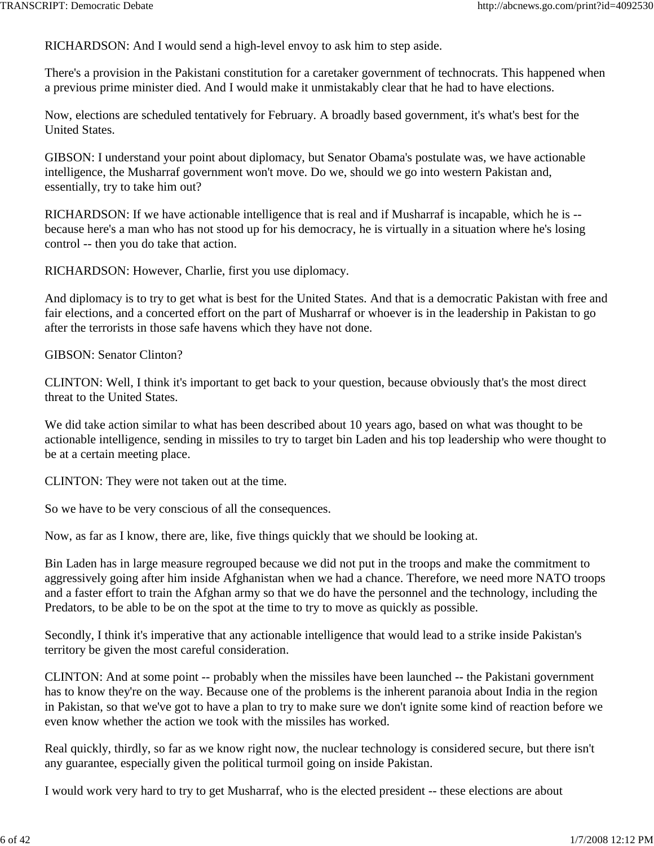RICHARDSON: And I would send a high-level envoy to ask him to step aside.

There's a provision in the Pakistani constitution for a caretaker government of technocrats. This happened when a previous prime minister died. And I would make it unmistakably clear that he had to have elections.

Now, elections are scheduled tentatively for February. A broadly based government, it's what's best for the United States.

GIBSON: I understand your point about diplomacy, but Senator Obama's postulate was, we have actionable intelligence, the Musharraf government won't move. Do we, should we go into western Pakistan and, essentially, try to take him out?

RICHARDSON: If we have actionable intelligence that is real and if Musharraf is incapable, which he is - because here's a man who has not stood up for his democracy, he is virtually in a situation where he's losing control -- then you do take that action.

RICHARDSON: However, Charlie, first you use diplomacy.

And diplomacy is to try to get what is best for the United States. And that is a democratic Pakistan with free and fair elections, and a concerted effort on the part of Musharraf or whoever is in the leadership in Pakistan to go after the terrorists in those safe havens which they have not done.

GIBSON: Senator Clinton?

CLINTON: Well, I think it's important to get back to your question, because obviously that's the most direct threat to the United States.

We did take action similar to what has been described about 10 years ago, based on what was thought to be actionable intelligence, sending in missiles to try to target bin Laden and his top leadership who were thought to be at a certain meeting place.

CLINTON: They were not taken out at the time.

So we have to be very conscious of all the consequences.

Now, as far as I know, there are, like, five things quickly that we should be looking at.

Bin Laden has in large measure regrouped because we did not put in the troops and make the commitment to aggressively going after him inside Afghanistan when we had a chance. Therefore, we need more NATO troops and a faster effort to train the Afghan army so that we do have the personnel and the technology, including the Predators, to be able to be on the spot at the time to try to move as quickly as possible.

Secondly, I think it's imperative that any actionable intelligence that would lead to a strike inside Pakistan's territory be given the most careful consideration.

CLINTON: And at some point -- probably when the missiles have been launched -- the Pakistani government has to know they're on the way. Because one of the problems is the inherent paranoia about India in the region in Pakistan, so that we've got to have a plan to try to make sure we don't ignite some kind of reaction before we even know whether the action we took with the missiles has worked.

Real quickly, thirdly, so far as we know right now, the nuclear technology is considered secure, but there isn't any guarantee, especially given the political turmoil going on inside Pakistan.

I would work very hard to try to get Musharraf, who is the elected president -- these elections are about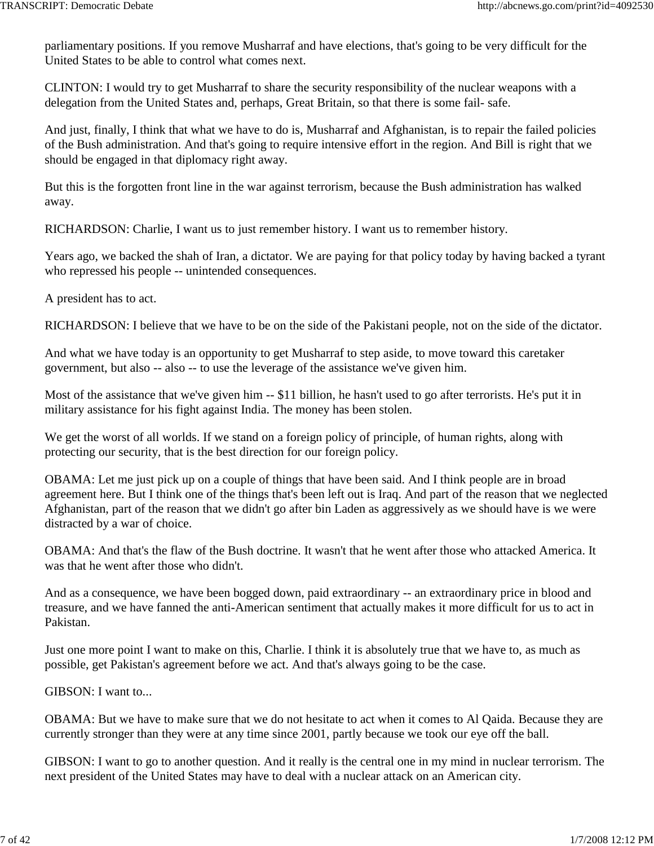parliamentary positions. If you remove Musharraf and have elections, that's going to be very difficult for the United States to be able to control what comes next.

CLINTON: I would try to get Musharraf to share the security responsibility of the nuclear weapons with a delegation from the United States and, perhaps, Great Britain, so that there is some fail- safe.

And just, finally, I think that what we have to do is, Musharraf and Afghanistan, is to repair the failed policies of the Bush administration. And that's going to require intensive effort in the region. And Bill is right that we should be engaged in that diplomacy right away.

But this is the forgotten front line in the war against terrorism, because the Bush administration has walked away.

RICHARDSON: Charlie, I want us to just remember history. I want us to remember history.

Years ago, we backed the shah of Iran, a dictator. We are paying for that policy today by having backed a tyrant who repressed his people -- unintended consequences.

A president has to act.

RICHARDSON: I believe that we have to be on the side of the Pakistani people, not on the side of the dictator.

And what we have today is an opportunity to get Musharraf to step aside, to move toward this caretaker government, but also -- also -- to use the leverage of the assistance we've given him.

Most of the assistance that we've given him -- \$11 billion, he hasn't used to go after terrorists. He's put it in military assistance for his fight against India. The money has been stolen.

We get the worst of all worlds. If we stand on a foreign policy of principle, of human rights, along with protecting our security, that is the best direction for our foreign policy.

OBAMA: Let me just pick up on a couple of things that have been said. And I think people are in broad agreement here. But I think one of the things that's been left out is Iraq. And part of the reason that we neglected Afghanistan, part of the reason that we didn't go after bin Laden as aggressively as we should have is we were distracted by a war of choice.

OBAMA: And that's the flaw of the Bush doctrine. It wasn't that he went after those who attacked America. It was that he went after those who didn't.

And as a consequence, we have been bogged down, paid extraordinary -- an extraordinary price in blood and treasure, and we have fanned the anti-American sentiment that actually makes it more difficult for us to act in Pakistan.

Just one more point I want to make on this, Charlie. I think it is absolutely true that we have to, as much as possible, get Pakistan's agreement before we act. And that's always going to be the case.

GIBSON: I want to...

OBAMA: But we have to make sure that we do not hesitate to act when it comes to Al Qaida. Because they are currently stronger than they were at any time since 2001, partly because we took our eye off the ball.

GIBSON: I want to go to another question. And it really is the central one in my mind in nuclear terrorism. The next president of the United States may have to deal with a nuclear attack on an American city.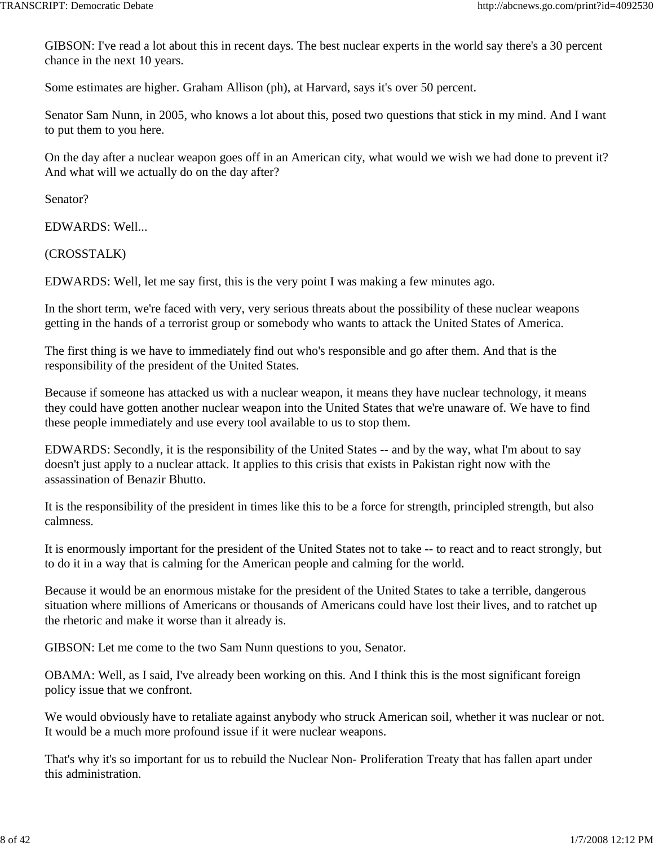GIBSON: I've read a lot about this in recent days. The best nuclear experts in the world say there's a 30 percent chance in the next 10 years.

Some estimates are higher. Graham Allison (ph), at Harvard, says it's over 50 percent.

Senator Sam Nunn, in 2005, who knows a lot about this, posed two questions that stick in my mind. And I want to put them to you here.

On the day after a nuclear weapon goes off in an American city, what would we wish we had done to prevent it? And what will we actually do on the day after?

Senator?

EDWARDS: Well...

(CROSSTALK)

EDWARDS: Well, let me say first, this is the very point I was making a few minutes ago.

In the short term, we're faced with very, very serious threats about the possibility of these nuclear weapons getting in the hands of a terrorist group or somebody who wants to attack the United States of America.

The first thing is we have to immediately find out who's responsible and go after them. And that is the responsibility of the president of the United States.

Because if someone has attacked us with a nuclear weapon, it means they have nuclear technology, it means they could have gotten another nuclear weapon into the United States that we're unaware of. We have to find these people immediately and use every tool available to us to stop them.

EDWARDS: Secondly, it is the responsibility of the United States -- and by the way, what I'm about to say doesn't just apply to a nuclear attack. It applies to this crisis that exists in Pakistan right now with the assassination of Benazir Bhutto.

It is the responsibility of the president in times like this to be a force for strength, principled strength, but also calmness.

It is enormously important for the president of the United States not to take -- to react and to react strongly, but to do it in a way that is calming for the American people and calming for the world.

Because it would be an enormous mistake for the president of the United States to take a terrible, dangerous situation where millions of Americans or thousands of Americans could have lost their lives, and to ratchet up the rhetoric and make it worse than it already is.

GIBSON: Let me come to the two Sam Nunn questions to you, Senator.

OBAMA: Well, as I said, I've already been working on this. And I think this is the most significant foreign policy issue that we confront.

We would obviously have to retaliate against anybody who struck American soil, whether it was nuclear or not. It would be a much more profound issue if it were nuclear weapons.

That's why it's so important for us to rebuild the Nuclear Non- Proliferation Treaty that has fallen apart under this administration.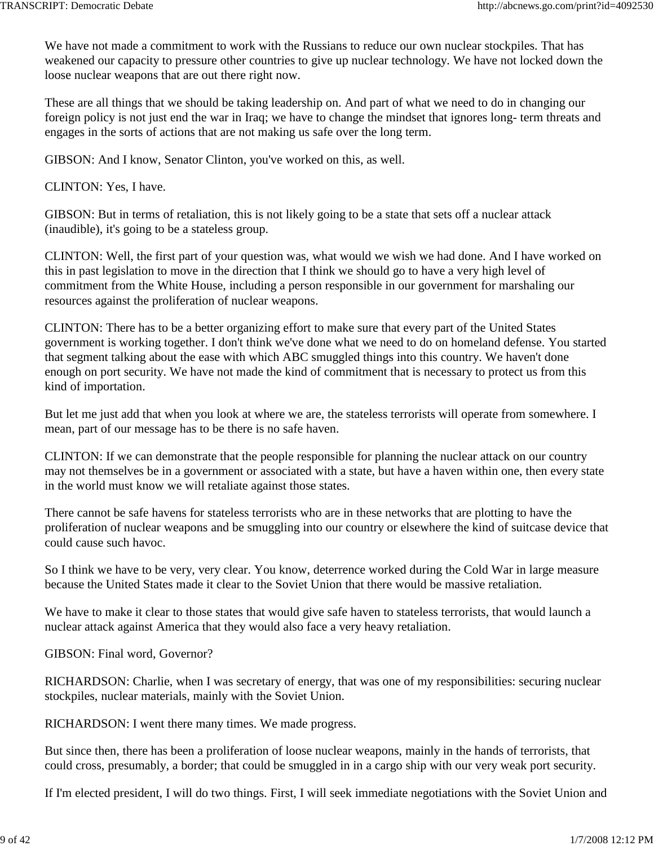We have not made a commitment to work with the Russians to reduce our own nuclear stockpiles. That has weakened our capacity to pressure other countries to give up nuclear technology. We have not locked down the loose nuclear weapons that are out there right now.

These are all things that we should be taking leadership on. And part of what we need to do in changing our foreign policy is not just end the war in Iraq; we have to change the mindset that ignores long- term threats and engages in the sorts of actions that are not making us safe over the long term.

GIBSON: And I know, Senator Clinton, you've worked on this, as well.

CLINTON: Yes, I have.

GIBSON: But in terms of retaliation, this is not likely going to be a state that sets off a nuclear attack (inaudible), it's going to be a stateless group.

CLINTON: Well, the first part of your question was, what would we wish we had done. And I have worked on this in past legislation to move in the direction that I think we should go to have a very high level of commitment from the White House, including a person responsible in our government for marshaling our resources against the proliferation of nuclear weapons.

CLINTON: There has to be a better organizing effort to make sure that every part of the United States government is working together. I don't think we've done what we need to do on homeland defense. You started that segment talking about the ease with which ABC smuggled things into this country. We haven't done enough on port security. We have not made the kind of commitment that is necessary to protect us from this kind of importation.

But let me just add that when you look at where we are, the stateless terrorists will operate from somewhere. I mean, part of our message has to be there is no safe haven.

CLINTON: If we can demonstrate that the people responsible for planning the nuclear attack on our country may not themselves be in a government or associated with a state, but have a haven within one, then every state in the world must know we will retaliate against those states.

There cannot be safe havens for stateless terrorists who are in these networks that are plotting to have the proliferation of nuclear weapons and be smuggling into our country or elsewhere the kind of suitcase device that could cause such havoc.

So I think we have to be very, very clear. You know, deterrence worked during the Cold War in large measure because the United States made it clear to the Soviet Union that there would be massive retaliation.

We have to make it clear to those states that would give safe haven to stateless terrorists, that would launch a nuclear attack against America that they would also face a very heavy retaliation.

GIBSON: Final word, Governor?

RICHARDSON: Charlie, when I was secretary of energy, that was one of my responsibilities: securing nuclear stockpiles, nuclear materials, mainly with the Soviet Union.

RICHARDSON: I went there many times. We made progress.

But since then, there has been a proliferation of loose nuclear weapons, mainly in the hands of terrorists, that could cross, presumably, a border; that could be smuggled in in a cargo ship with our very weak port security.

If I'm elected president, I will do two things. First, I will seek immediate negotiations with the Soviet Union and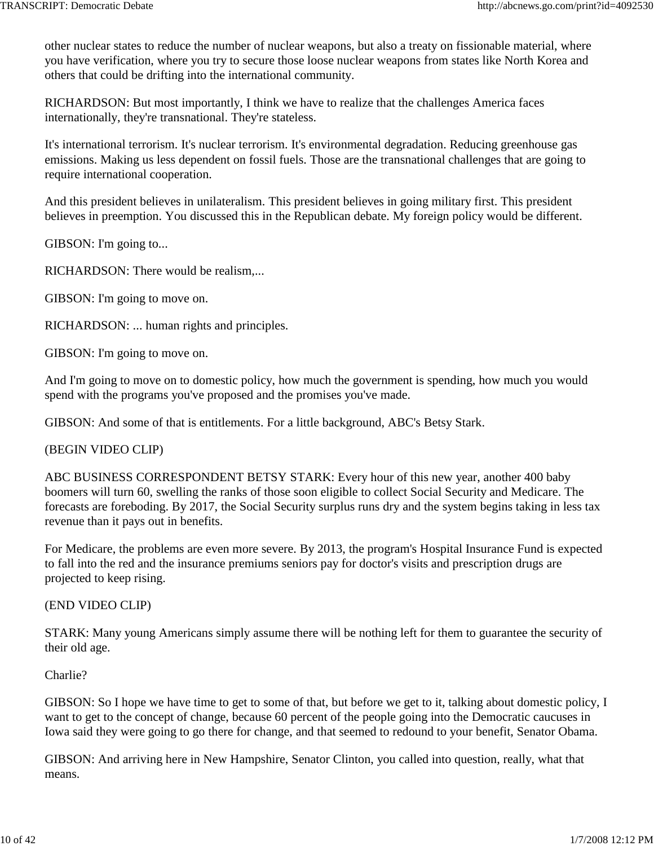other nuclear states to reduce the number of nuclear weapons, but also a treaty on fissionable material, where you have verification, where you try to secure those loose nuclear weapons from states like North Korea and others that could be drifting into the international community.

RICHARDSON: But most importantly, I think we have to realize that the challenges America faces internationally, they're transnational. They're stateless.

It's international terrorism. It's nuclear terrorism. It's environmental degradation. Reducing greenhouse gas emissions. Making us less dependent on fossil fuels. Those are the transnational challenges that are going to require international cooperation.

And this president believes in unilateralism. This president believes in going military first. This president believes in preemption. You discussed this in the Republican debate. My foreign policy would be different.

GIBSON: I'm going to...

RICHARDSON: There would be realism,...

GIBSON: I'm going to move on.

RICHARDSON: ... human rights and principles.

GIBSON: I'm going to move on.

And I'm going to move on to domestic policy, how much the government is spending, how much you would spend with the programs you've proposed and the promises you've made.

GIBSON: And some of that is entitlements. For a little background, ABC's Betsy Stark.

(BEGIN VIDEO CLIP)

ABC BUSINESS CORRESPONDENT BETSY STARK: Every hour of this new year, another 400 baby boomers will turn 60, swelling the ranks of those soon eligible to collect Social Security and Medicare. The forecasts are foreboding. By 2017, the Social Security surplus runs dry and the system begins taking in less tax revenue than it pays out in benefits.

For Medicare, the problems are even more severe. By 2013, the program's Hospital Insurance Fund is expected to fall into the red and the insurance premiums seniors pay for doctor's visits and prescription drugs are projected to keep rising.

(END VIDEO CLIP)

STARK: Many young Americans simply assume there will be nothing left for them to guarantee the security of their old age.

#### Charlie?

GIBSON: So I hope we have time to get to some of that, but before we get to it, talking about domestic policy, I want to get to the concept of change, because 60 percent of the people going into the Democratic caucuses in Iowa said they were going to go there for change, and that seemed to redound to your benefit, Senator Obama.

GIBSON: And arriving here in New Hampshire, Senator Clinton, you called into question, really, what that means.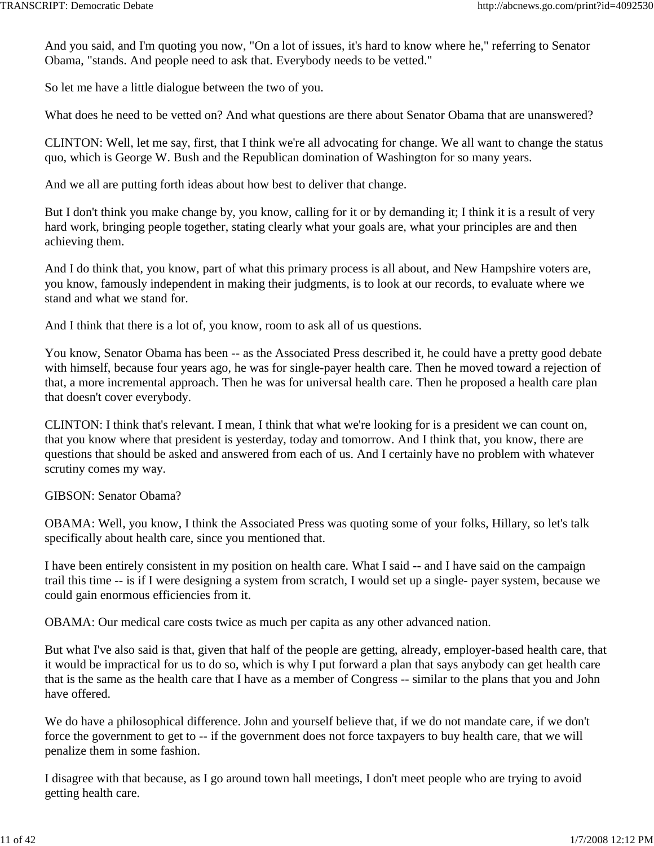And you said, and I'm quoting you now, "On a lot of issues, it's hard to know where he," referring to Senator Obama, "stands. And people need to ask that. Everybody needs to be vetted."

So let me have a little dialogue between the two of you.

What does he need to be vetted on? And what questions are there about Senator Obama that are unanswered?

CLINTON: Well, let me say, first, that I think we're all advocating for change. We all want to change the status quo, which is George W. Bush and the Republican domination of Washington for so many years.

And we all are putting forth ideas about how best to deliver that change.

But I don't think you make change by, you know, calling for it or by demanding it; I think it is a result of very hard work, bringing people together, stating clearly what your goals are, what your principles are and then achieving them.

And I do think that, you know, part of what this primary process is all about, and New Hampshire voters are, you know, famously independent in making their judgments, is to look at our records, to evaluate where we stand and what we stand for.

And I think that there is a lot of, you know, room to ask all of us questions.

You know, Senator Obama has been -- as the Associated Press described it, he could have a pretty good debate with himself, because four years ago, he was for single-payer health care. Then he moved toward a rejection of that, a more incremental approach. Then he was for universal health care. Then he proposed a health care plan that doesn't cover everybody.

CLINTON: I think that's relevant. I mean, I think that what we're looking for is a president we can count on, that you know where that president is yesterday, today and tomorrow. And I think that, you know, there are questions that should be asked and answered from each of us. And I certainly have no problem with whatever scrutiny comes my way.

GIBSON: Senator Obama?

OBAMA: Well, you know, I think the Associated Press was quoting some of your folks, Hillary, so let's talk specifically about health care, since you mentioned that.

I have been entirely consistent in my position on health care. What I said -- and I have said on the campaign trail this time -- is if I were designing a system from scratch, I would set up a single- payer system, because we could gain enormous efficiencies from it.

OBAMA: Our medical care costs twice as much per capita as any other advanced nation.

But what I've also said is that, given that half of the people are getting, already, employer-based health care, that it would be impractical for us to do so, which is why I put forward a plan that says anybody can get health care that is the same as the health care that I have as a member of Congress -- similar to the plans that you and John have offered.

We do have a philosophical difference. John and yourself believe that, if we do not mandate care, if we don't force the government to get to -- if the government does not force taxpayers to buy health care, that we will penalize them in some fashion.

I disagree with that because, as I go around town hall meetings, I don't meet people who are trying to avoid getting health care.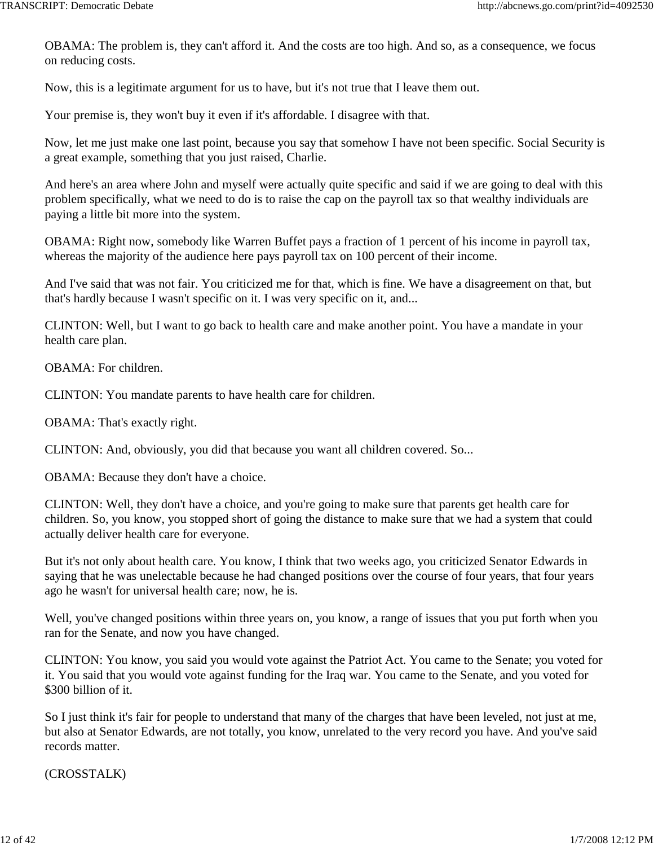OBAMA: The problem is, they can't afford it. And the costs are too high. And so, as a consequence, we focus on reducing costs.

Now, this is a legitimate argument for us to have, but it's not true that I leave them out.

Your premise is, they won't buy it even if it's affordable. I disagree with that.

Now, let me just make one last point, because you say that somehow I have not been specific. Social Security is a great example, something that you just raised, Charlie.

And here's an area where John and myself were actually quite specific and said if we are going to deal with this problem specifically, what we need to do is to raise the cap on the payroll tax so that wealthy individuals are paying a little bit more into the system.

OBAMA: Right now, somebody like Warren Buffet pays a fraction of 1 percent of his income in payroll tax, whereas the majority of the audience here pays payroll tax on 100 percent of their income.

And I've said that was not fair. You criticized me for that, which is fine. We have a disagreement on that, but that's hardly because I wasn't specific on it. I was very specific on it, and...

CLINTON: Well, but I want to go back to health care and make another point. You have a mandate in your health care plan.

OBAMA: For children.

CLINTON: You mandate parents to have health care for children.

OBAMA: That's exactly right.

CLINTON: And, obviously, you did that because you want all children covered. So...

OBAMA: Because they don't have a choice.

CLINTON: Well, they don't have a choice, and you're going to make sure that parents get health care for children. So, you know, you stopped short of going the distance to make sure that we had a system that could actually deliver health care for everyone.

But it's not only about health care. You know, I think that two weeks ago, you criticized Senator Edwards in saying that he was unelectable because he had changed positions over the course of four years, that four years ago he wasn't for universal health care; now, he is.

Well, you've changed positions within three years on, you know, a range of issues that you put forth when you ran for the Senate, and now you have changed.

CLINTON: You know, you said you would vote against the Patriot Act. You came to the Senate; you voted for it. You said that you would vote against funding for the Iraq war. You came to the Senate, and you voted for \$300 billion of it.

So I just think it's fair for people to understand that many of the charges that have been leveled, not just at me, but also at Senator Edwards, are not totally, you know, unrelated to the very record you have. And you've said records matter.

(CROSSTALK)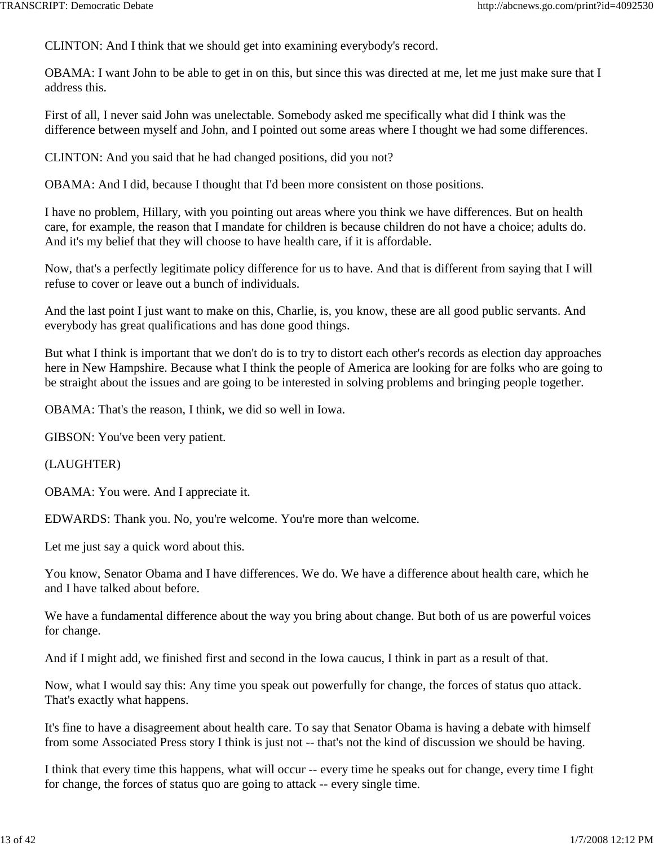CLINTON: And I think that we should get into examining everybody's record.

OBAMA: I want John to be able to get in on this, but since this was directed at me, let me just make sure that I address this.

First of all, I never said John was unelectable. Somebody asked me specifically what did I think was the difference between myself and John, and I pointed out some areas where I thought we had some differences.

CLINTON: And you said that he had changed positions, did you not?

OBAMA: And I did, because I thought that I'd been more consistent on those positions.

I have no problem, Hillary, with you pointing out areas where you think we have differences. But on health care, for example, the reason that I mandate for children is because children do not have a choice; adults do. And it's my belief that they will choose to have health care, if it is affordable.

Now, that's a perfectly legitimate policy difference for us to have. And that is different from saying that I will refuse to cover or leave out a bunch of individuals.

And the last point I just want to make on this, Charlie, is, you know, these are all good public servants. And everybody has great qualifications and has done good things.

But what I think is important that we don't do is to try to distort each other's records as election day approaches here in New Hampshire. Because what I think the people of America are looking for are folks who are going to be straight about the issues and are going to be interested in solving problems and bringing people together.

OBAMA: That's the reason, I think, we did so well in Iowa.

GIBSON: You've been very patient.

(LAUGHTER)

OBAMA: You were. And I appreciate it.

EDWARDS: Thank you. No, you're welcome. You're more than welcome.

Let me just say a quick word about this.

You know, Senator Obama and I have differences. We do. We have a difference about health care, which he and I have talked about before.

We have a fundamental difference about the way you bring about change. But both of us are powerful voices for change.

And if I might add, we finished first and second in the Iowa caucus, I think in part as a result of that.

Now, what I would say this: Any time you speak out powerfully for change, the forces of status quo attack. That's exactly what happens.

It's fine to have a disagreement about health care. To say that Senator Obama is having a debate with himself from some Associated Press story I think is just not -- that's not the kind of discussion we should be having.

I think that every time this happens, what will occur -- every time he speaks out for change, every time I fight for change, the forces of status quo are going to attack -- every single time.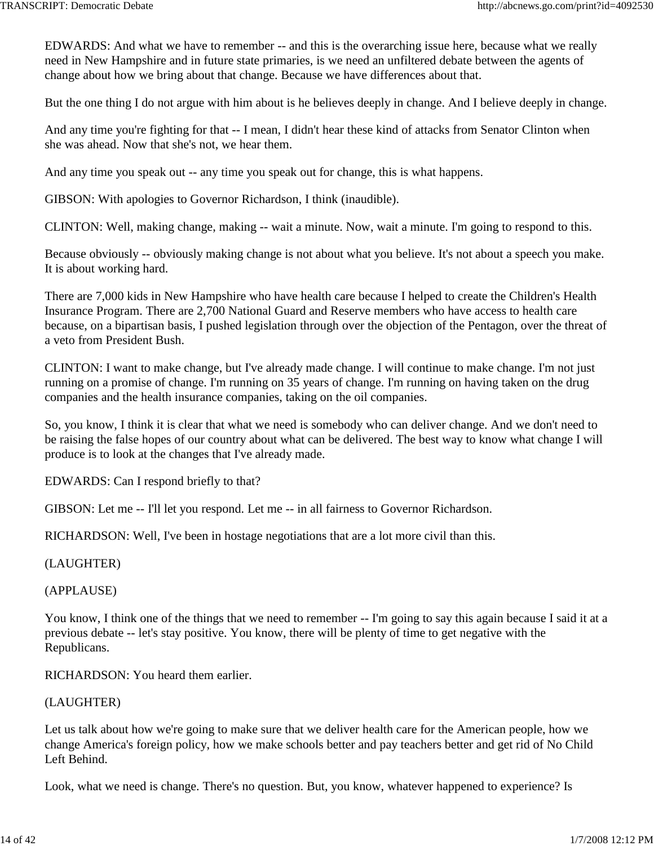EDWARDS: And what we have to remember -- and this is the overarching issue here, because what we really need in New Hampshire and in future state primaries, is we need an unfiltered debate between the agents of change about how we bring about that change. Because we have differences about that.

But the one thing I do not argue with him about is he believes deeply in change. And I believe deeply in change.

And any time you're fighting for that -- I mean, I didn't hear these kind of attacks from Senator Clinton when she was ahead. Now that she's not, we hear them.

And any time you speak out -- any time you speak out for change, this is what happens.

GIBSON: With apologies to Governor Richardson, I think (inaudible).

CLINTON: Well, making change, making -- wait a minute. Now, wait a minute. I'm going to respond to this.

Because obviously -- obviously making change is not about what you believe. It's not about a speech you make. It is about working hard.

There are 7,000 kids in New Hampshire who have health care because I helped to create the Children's Health Insurance Program. There are 2,700 National Guard and Reserve members who have access to health care because, on a bipartisan basis, I pushed legislation through over the objection of the Pentagon, over the threat of a veto from President Bush.

CLINTON: I want to make change, but I've already made change. I will continue to make change. I'm not just running on a promise of change. I'm running on 35 years of change. I'm running on having taken on the drug companies and the health insurance companies, taking on the oil companies.

So, you know, I think it is clear that what we need is somebody who can deliver change. And we don't need to be raising the false hopes of our country about what can be delivered. The best way to know what change I will produce is to look at the changes that I've already made.

EDWARDS: Can I respond briefly to that?

GIBSON: Let me -- I'll let you respond. Let me -- in all fairness to Governor Richardson.

RICHARDSON: Well, I've been in hostage negotiations that are a lot more civil than this.

# (LAUGHTER)

# (APPLAUSE)

You know, I think one of the things that we need to remember -- I'm going to say this again because I said it at a previous debate -- let's stay positive. You know, there will be plenty of time to get negative with the Republicans.

RICHARDSON: You heard them earlier.

# (LAUGHTER)

Let us talk about how we're going to make sure that we deliver health care for the American people, how we change America's foreign policy, how we make schools better and pay teachers better and get rid of No Child Left Behind.

Look, what we need is change. There's no question. But, you know, whatever happened to experience? Is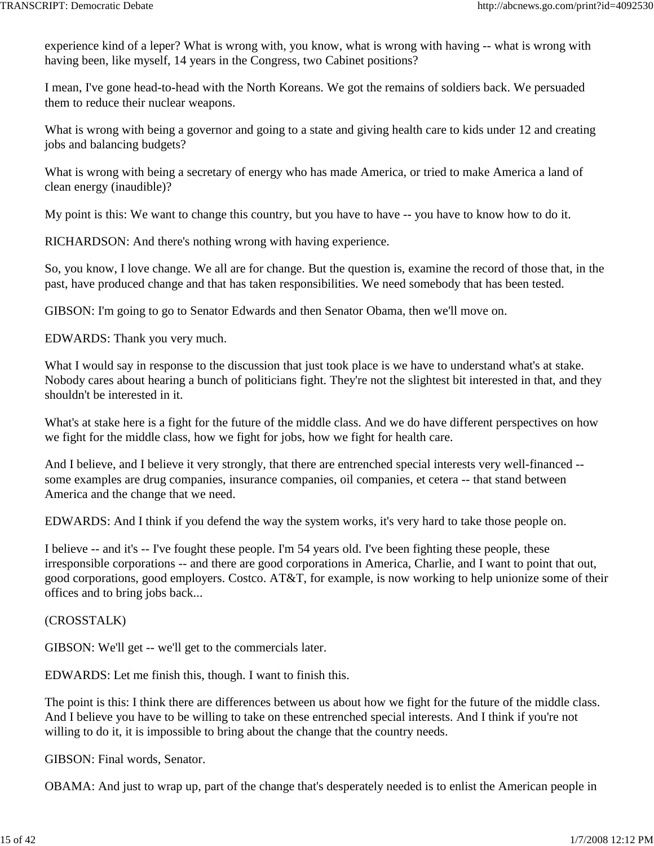experience kind of a leper? What is wrong with, you know, what is wrong with having -- what is wrong with having been, like myself, 14 years in the Congress, two Cabinet positions?

I mean, I've gone head-to-head with the North Koreans. We got the remains of soldiers back. We persuaded them to reduce their nuclear weapons.

What is wrong with being a governor and going to a state and giving health care to kids under 12 and creating jobs and balancing budgets?

What is wrong with being a secretary of energy who has made America, or tried to make America a land of clean energy (inaudible)?

My point is this: We want to change this country, but you have to have  $-$ - you have to know how to do it.

RICHARDSON: And there's nothing wrong with having experience.

So, you know, I love change. We all are for change. But the question is, examine the record of those that, in the past, have produced change and that has taken responsibilities. We need somebody that has been tested.

GIBSON: I'm going to go to Senator Edwards and then Senator Obama, then we'll move on.

EDWARDS: Thank you very much.

What I would say in response to the discussion that just took place is we have to understand what's at stake. Nobody cares about hearing a bunch of politicians fight. They're not the slightest bit interested in that, and they shouldn't be interested in it.

What's at stake here is a fight for the future of the middle class. And we do have different perspectives on how we fight for the middle class, how we fight for jobs, how we fight for health care.

And I believe, and I believe it very strongly, that there are entrenched special interests very well-financed - some examples are drug companies, insurance companies, oil companies, et cetera -- that stand between America and the change that we need.

EDWARDS: And I think if you defend the way the system works, it's very hard to take those people on.

I believe -- and it's -- I've fought these people. I'm 54 years old. I've been fighting these people, these irresponsible corporations -- and there are good corporations in America, Charlie, and I want to point that out, good corporations, good employers. Costco. AT&T, for example, is now working to help unionize some of their offices and to bring jobs back...

# (CROSSTALK)

GIBSON: We'll get -- we'll get to the commercials later.

EDWARDS: Let me finish this, though. I want to finish this.

The point is this: I think there are differences between us about how we fight for the future of the middle class. And I believe you have to be willing to take on these entrenched special interests. And I think if you're not willing to do it, it is impossible to bring about the change that the country needs.

GIBSON: Final words, Senator.

OBAMA: And just to wrap up, part of the change that's desperately needed is to enlist the American people in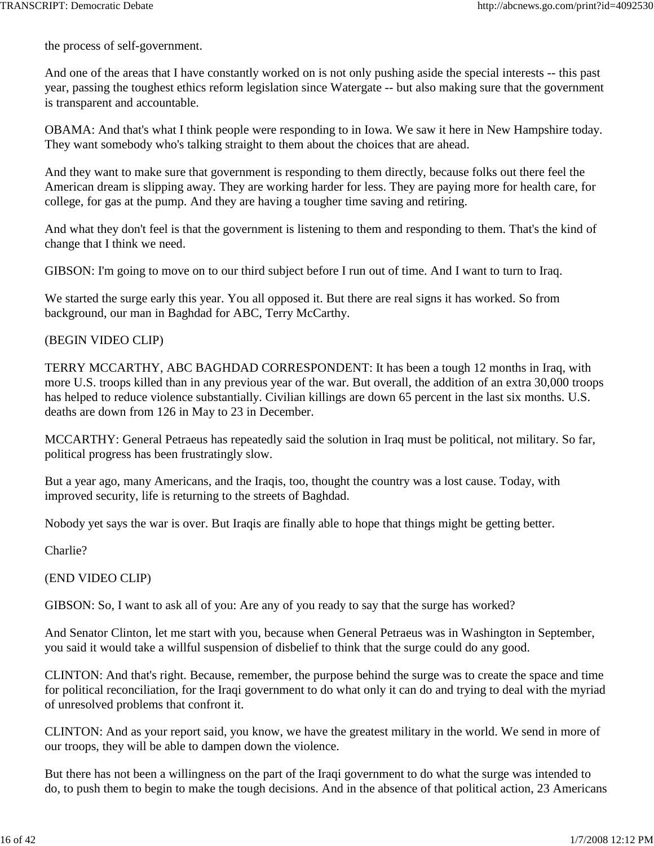the process of self-government.

And one of the areas that I have constantly worked on is not only pushing aside the special interests -- this past year, passing the toughest ethics reform legislation since Watergate -- but also making sure that the government is transparent and accountable.

OBAMA: And that's what I think people were responding to in Iowa. We saw it here in New Hampshire today. They want somebody who's talking straight to them about the choices that are ahead.

And they want to make sure that government is responding to them directly, because folks out there feel the American dream is slipping away. They are working harder for less. They are paying more for health care, for college, for gas at the pump. And they are having a tougher time saving and retiring.

And what they don't feel is that the government is listening to them and responding to them. That's the kind of change that I think we need.

GIBSON: I'm going to move on to our third subject before I run out of time. And I want to turn to Iraq.

We started the surge early this year. You all opposed it. But there are real signs it has worked. So from background, our man in Baghdad for ABC, Terry McCarthy.

# (BEGIN VIDEO CLIP)

TERRY MCCARTHY, ABC BAGHDAD CORRESPONDENT: It has been a tough 12 months in Iraq, with more U.S. troops killed than in any previous year of the war. But overall, the addition of an extra 30,000 troops has helped to reduce violence substantially. Civilian killings are down 65 percent in the last six months. U.S. deaths are down from 126 in May to 23 in December.

MCCARTHY: General Petraeus has repeatedly said the solution in Iraq must be political, not military. So far, political progress has been frustratingly slow.

But a year ago, many Americans, and the Iraqis, too, thought the country was a lost cause. Today, with improved security, life is returning to the streets of Baghdad.

Nobody yet says the war is over. But Iraqis are finally able to hope that things might be getting better.

Charlie?

#### (END VIDEO CLIP)

GIBSON: So, I want to ask all of you: Are any of you ready to say that the surge has worked?

And Senator Clinton, let me start with you, because when General Petraeus was in Washington in September, you said it would take a willful suspension of disbelief to think that the surge could do any good.

CLINTON: And that's right. Because, remember, the purpose behind the surge was to create the space and time for political reconciliation, for the Iraqi government to do what only it can do and trying to deal with the myriad of unresolved problems that confront it.

CLINTON: And as your report said, you know, we have the greatest military in the world. We send in more of our troops, they will be able to dampen down the violence.

But there has not been a willingness on the part of the Iraqi government to do what the surge was intended to do, to push them to begin to make the tough decisions. And in the absence of that political action, 23 Americans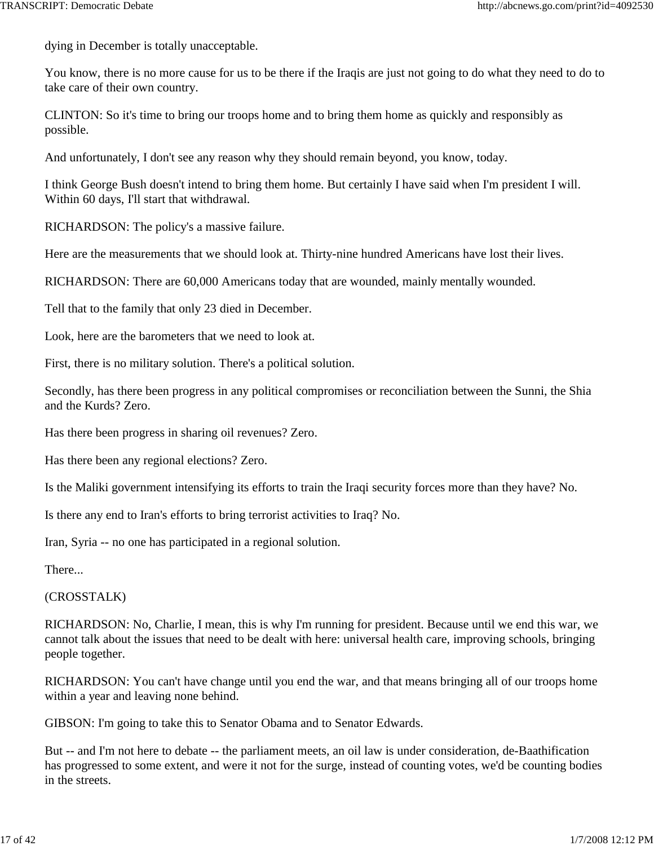dying in December is totally unacceptable.

You know, there is no more cause for us to be there if the Iraqis are just not going to do what they need to do to take care of their own country.

CLINTON: So it's time to bring our troops home and to bring them home as quickly and responsibly as possible.

And unfortunately, I don't see any reason why they should remain beyond, you know, today.

I think George Bush doesn't intend to bring them home. But certainly I have said when I'm president I will. Within 60 days, I'll start that withdrawal.

RICHARDSON: The policy's a massive failure.

Here are the measurements that we should look at. Thirty-nine hundred Americans have lost their lives.

RICHARDSON: There are 60,000 Americans today that are wounded, mainly mentally wounded.

Tell that to the family that only 23 died in December.

Look, here are the barometers that we need to look at.

First, there is no military solution. There's a political solution.

Secondly, has there been progress in any political compromises or reconciliation between the Sunni, the Shia and the Kurds? Zero.

Has there been progress in sharing oil revenues? Zero.

Has there been any regional elections? Zero.

Is the Maliki government intensifying its efforts to train the Iraqi security forces more than they have? No.

Is there any end to Iran's efforts to bring terrorist activities to Iraq? No.

Iran, Syria -- no one has participated in a regional solution.

There...

(CROSSTALK)

RICHARDSON: No, Charlie, I mean, this is why I'm running for president. Because until we end this war, we cannot talk about the issues that need to be dealt with here: universal health care, improving schools, bringing people together.

RICHARDSON: You can't have change until you end the war, and that means bringing all of our troops home within a year and leaving none behind.

GIBSON: I'm going to take this to Senator Obama and to Senator Edwards.

But -- and I'm not here to debate -- the parliament meets, an oil law is under consideration, de-Baathification has progressed to some extent, and were it not for the surge, instead of counting votes, we'd be counting bodies in the streets.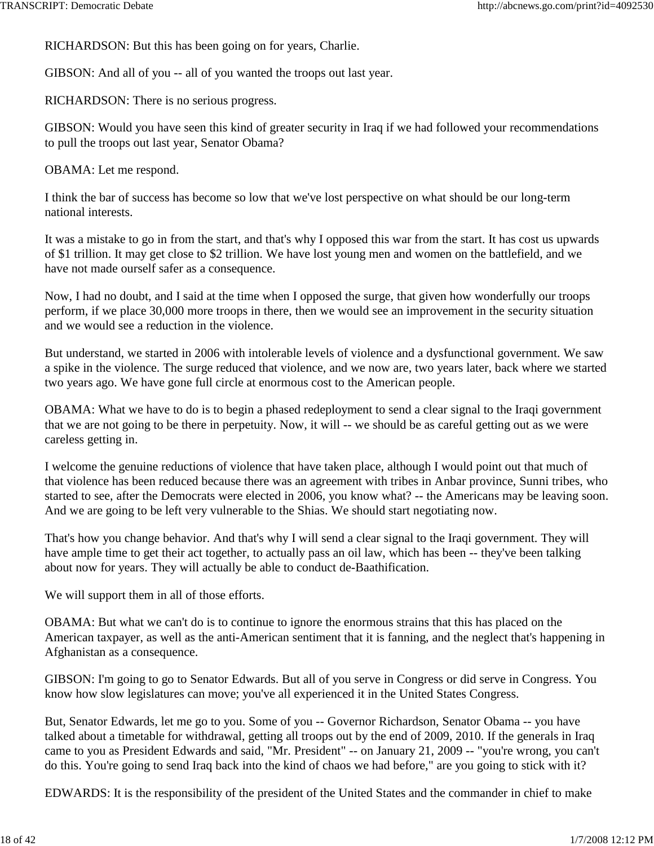RICHARDSON: But this has been going on for years, Charlie.

GIBSON: And all of you -- all of you wanted the troops out last year.

RICHARDSON: There is no serious progress.

GIBSON: Would you have seen this kind of greater security in Iraq if we had followed your recommendations to pull the troops out last year, Senator Obama?

OBAMA: Let me respond.

I think the bar of success has become so low that we've lost perspective on what should be our long-term national interests.

It was a mistake to go in from the start, and that's why I opposed this war from the start. It has cost us upwards of \$1 trillion. It may get close to \$2 trillion. We have lost young men and women on the battlefield, and we have not made ourself safer as a consequence.

Now, I had no doubt, and I said at the time when I opposed the surge, that given how wonderfully our troops perform, if we place 30,000 more troops in there, then we would see an improvement in the security situation and we would see a reduction in the violence.

But understand, we started in 2006 with intolerable levels of violence and a dysfunctional government. We saw a spike in the violence. The surge reduced that violence, and we now are, two years later, back where we started two years ago. We have gone full circle at enormous cost to the American people.

OBAMA: What we have to do is to begin a phased redeployment to send a clear signal to the Iraqi government that we are not going to be there in perpetuity. Now, it will -- we should be as careful getting out as we were careless getting in.

I welcome the genuine reductions of violence that have taken place, although I would point out that much of that violence has been reduced because there was an agreement with tribes in Anbar province, Sunni tribes, who started to see, after the Democrats were elected in 2006, you know what? -- the Americans may be leaving soon. And we are going to be left very vulnerable to the Shias. We should start negotiating now.

That's how you change behavior. And that's why I will send a clear signal to the Iraqi government. They will have ample time to get their act together, to actually pass an oil law, which has been -- they've been talking about now for years. They will actually be able to conduct de-Baathification.

We will support them in all of those efforts.

OBAMA: But what we can't do is to continue to ignore the enormous strains that this has placed on the American taxpayer, as well as the anti-American sentiment that it is fanning, and the neglect that's happening in Afghanistan as a consequence.

GIBSON: I'm going to go to Senator Edwards. But all of you serve in Congress or did serve in Congress. You know how slow legislatures can move; you've all experienced it in the United States Congress.

But, Senator Edwards, let me go to you. Some of you -- Governor Richardson, Senator Obama -- you have talked about a timetable for withdrawal, getting all troops out by the end of 2009, 2010. If the generals in Iraq came to you as President Edwards and said, "Mr. President" -- on January 21, 2009 -- "you're wrong, you can't do this. You're going to send Iraq back into the kind of chaos we had before," are you going to stick with it?

EDWARDS: It is the responsibility of the president of the United States and the commander in chief to make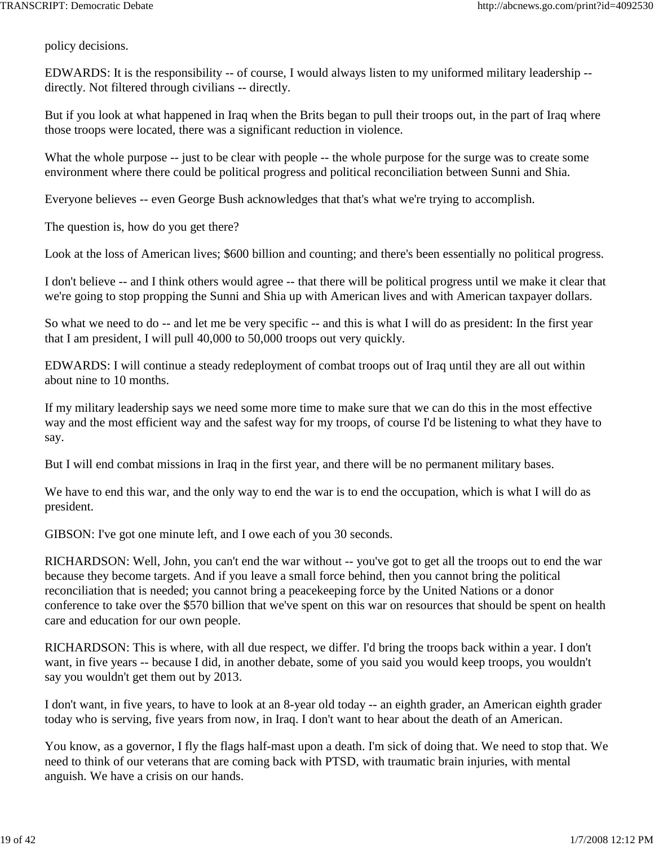policy decisions.

EDWARDS: It is the responsibility -- of course, I would always listen to my uniformed military leadership - directly. Not filtered through civilians -- directly.

But if you look at what happened in Iraq when the Brits began to pull their troops out, in the part of Iraq where those troops were located, there was a significant reduction in violence.

What the whole purpose -- just to be clear with people -- the whole purpose for the surge was to create some environment where there could be political progress and political reconciliation between Sunni and Shia.

Everyone believes -- even George Bush acknowledges that that's what we're trying to accomplish.

The question is, how do you get there?

Look at the loss of American lives; \$600 billion and counting; and there's been essentially no political progress.

I don't believe -- and I think others would agree -- that there will be political progress until we make it clear that we're going to stop propping the Sunni and Shia up with American lives and with American taxpayer dollars.

So what we need to do -- and let me be very specific -- and this is what I will do as president: In the first year that I am president, I will pull 40,000 to 50,000 troops out very quickly.

EDWARDS: I will continue a steady redeployment of combat troops out of Iraq until they are all out within about nine to 10 months.

If my military leadership says we need some more time to make sure that we can do this in the most effective way and the most efficient way and the safest way for my troops, of course I'd be listening to what they have to say.

But I will end combat missions in Iraq in the first year, and there will be no permanent military bases.

We have to end this war, and the only way to end the war is to end the occupation, which is what I will do as president.

GIBSON: I've got one minute left, and I owe each of you 30 seconds.

RICHARDSON: Well, John, you can't end the war without -- you've got to get all the troops out to end the war because they become targets. And if you leave a small force behind, then you cannot bring the political reconciliation that is needed; you cannot bring a peacekeeping force by the United Nations or a donor conference to take over the \$570 billion that we've spent on this war on resources that should be spent on health care and education for our own people.

RICHARDSON: This is where, with all due respect, we differ. I'd bring the troops back within a year. I don't want, in five years -- because I did, in another debate, some of you said you would keep troops, you wouldn't say you wouldn't get them out by 2013.

I don't want, in five years, to have to look at an 8-year old today -- an eighth grader, an American eighth grader today who is serving, five years from now, in Iraq. I don't want to hear about the death of an American.

You know, as a governor, I fly the flags half-mast upon a death. I'm sick of doing that. We need to stop that. We need to think of our veterans that are coming back with PTSD, with traumatic brain injuries, with mental anguish. We have a crisis on our hands.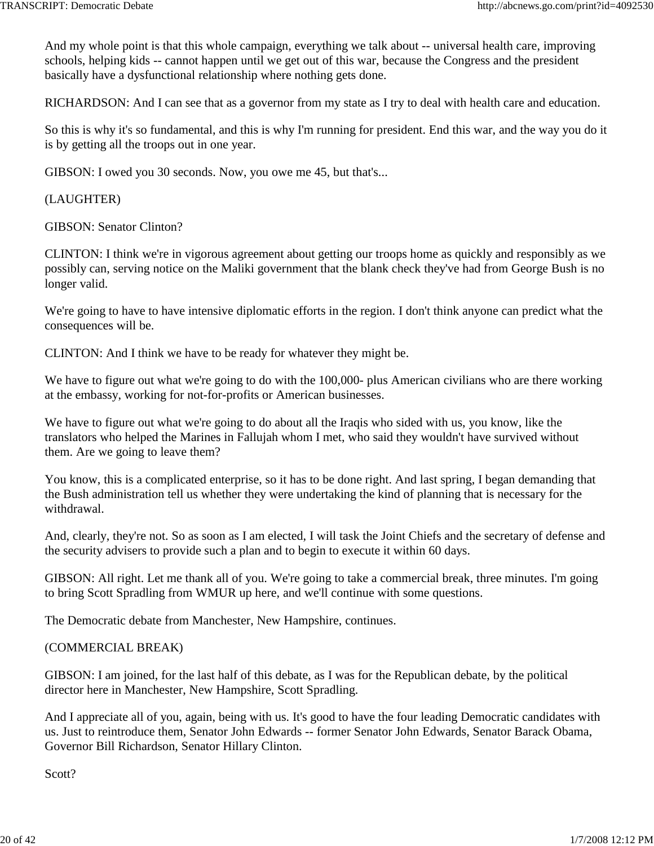And my whole point is that this whole campaign, everything we talk about -- universal health care, improving schools, helping kids -- cannot happen until we get out of this war, because the Congress and the president basically have a dysfunctional relationship where nothing gets done.

RICHARDSON: And I can see that as a governor from my state as I try to deal with health care and education.

So this is why it's so fundamental, and this is why I'm running for president. End this war, and the way you do it is by getting all the troops out in one year.

GIBSON: I owed you 30 seconds. Now, you owe me 45, but that's...

# (LAUGHTER)

GIBSON: Senator Clinton?

CLINTON: I think we're in vigorous agreement about getting our troops home as quickly and responsibly as we possibly can, serving notice on the Maliki government that the blank check they've had from George Bush is no longer valid.

We're going to have to have intensive diplomatic efforts in the region. I don't think anyone can predict what the consequences will be.

CLINTON: And I think we have to be ready for whatever they might be.

We have to figure out what we're going to do with the 100,000- plus American civilians who are there working at the embassy, working for not-for-profits or American businesses.

We have to figure out what we're going to do about all the Iraqis who sided with us, you know, like the translators who helped the Marines in Fallujah whom I met, who said they wouldn't have survived without them. Are we going to leave them?

You know, this is a complicated enterprise, so it has to be done right. And last spring, I began demanding that the Bush administration tell us whether they were undertaking the kind of planning that is necessary for the withdrawal.

And, clearly, they're not. So as soon as I am elected, I will task the Joint Chiefs and the secretary of defense and the security advisers to provide such a plan and to begin to execute it within 60 days.

GIBSON: All right. Let me thank all of you. We're going to take a commercial break, three minutes. I'm going to bring Scott Spradling from WMUR up here, and we'll continue with some questions.

The Democratic debate from Manchester, New Hampshire, continues.

# (COMMERCIAL BREAK)

GIBSON: I am joined, for the last half of this debate, as I was for the Republican debate, by the political director here in Manchester, New Hampshire, Scott Spradling.

And I appreciate all of you, again, being with us. It's good to have the four leading Democratic candidates with us. Just to reintroduce them, Senator John Edwards -- former Senator John Edwards, Senator Barack Obama, Governor Bill Richardson, Senator Hillary Clinton.

Scott?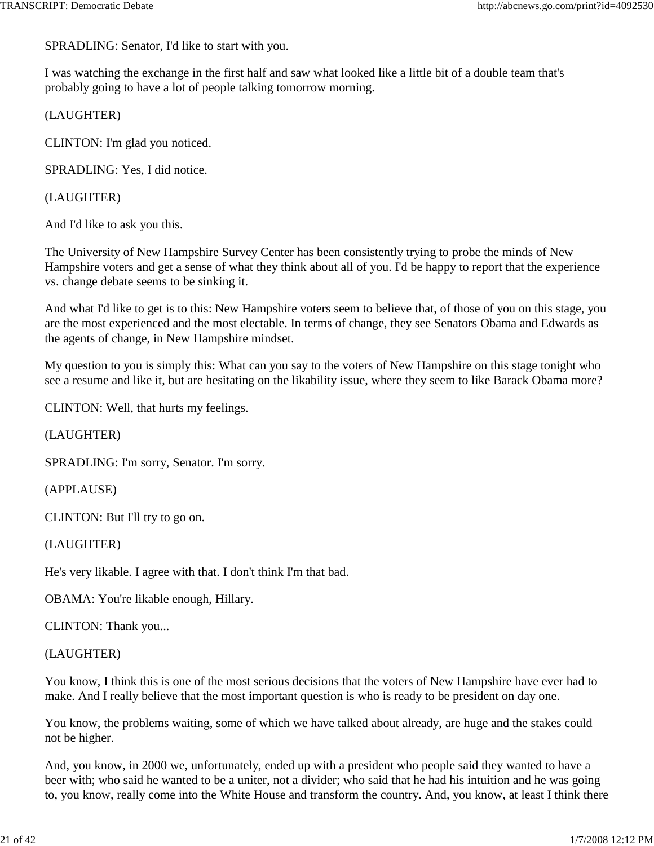SPRADLING: Senator, I'd like to start with you.

I was watching the exchange in the first half and saw what looked like a little bit of a double team that's probably going to have a lot of people talking tomorrow morning.

(LAUGHTER)

CLINTON: I'm glad you noticed.

SPRADLING: Yes, I did notice.

(LAUGHTER)

And I'd like to ask you this.

The University of New Hampshire Survey Center has been consistently trying to probe the minds of New Hampshire voters and get a sense of what they think about all of you. I'd be happy to report that the experience vs. change debate seems to be sinking it.

And what I'd like to get is to this: New Hampshire voters seem to believe that, of those of you on this stage, you are the most experienced and the most electable. In terms of change, they see Senators Obama and Edwards as the agents of change, in New Hampshire mindset.

My question to you is simply this: What can you say to the voters of New Hampshire on this stage tonight who see a resume and like it, but are hesitating on the likability issue, where they seem to like Barack Obama more?

CLINTON: Well, that hurts my feelings.

(LAUGHTER)

SPRADLING: I'm sorry, Senator. I'm sorry.

(APPLAUSE)

CLINTON: But I'll try to go on.

(LAUGHTER)

He's very likable. I agree with that. I don't think I'm that bad.

OBAMA: You're likable enough, Hillary.

CLINTON: Thank you...

(LAUGHTER)

You know, I think this is one of the most serious decisions that the voters of New Hampshire have ever had to make. And I really believe that the most important question is who is ready to be president on day one.

You know, the problems waiting, some of which we have talked about already, are huge and the stakes could not be higher.

And, you know, in 2000 we, unfortunately, ended up with a president who people said they wanted to have a beer with; who said he wanted to be a uniter, not a divider; who said that he had his intuition and he was going to, you know, really come into the White House and transform the country. And, you know, at least I think there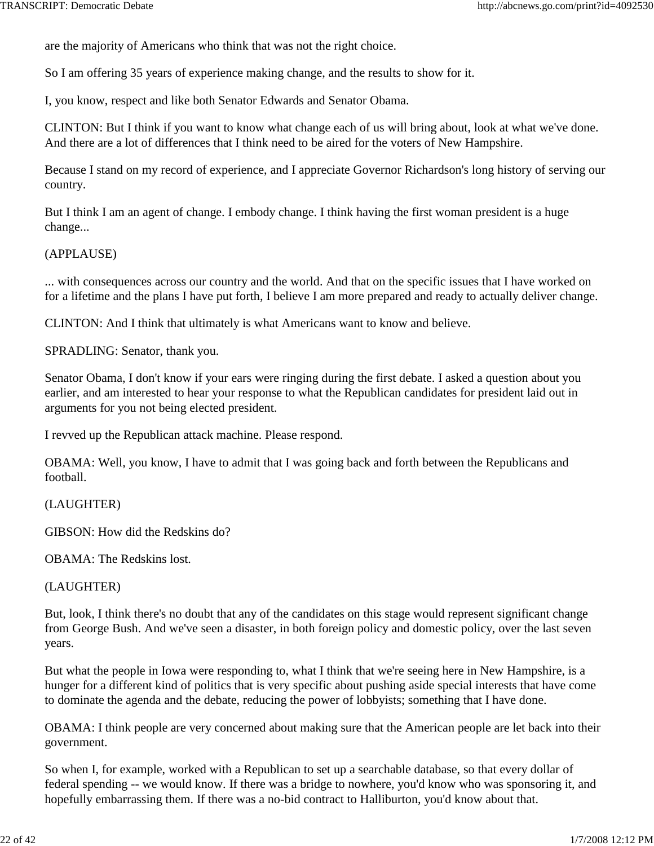are the majority of Americans who think that was not the right choice.

So I am offering 35 years of experience making change, and the results to show for it.

I, you know, respect and like both Senator Edwards and Senator Obama.

CLINTON: But I think if you want to know what change each of us will bring about, look at what we've done. And there are a lot of differences that I think need to be aired for the voters of New Hampshire.

Because I stand on my record of experience, and I appreciate Governor Richardson's long history of serving our country.

But I think I am an agent of change. I embody change. I think having the first woman president is a huge change...

#### (APPLAUSE)

... with consequences across our country and the world. And that on the specific issues that I have worked on for a lifetime and the plans I have put forth, I believe I am more prepared and ready to actually deliver change.

CLINTON: And I think that ultimately is what Americans want to know and believe.

SPRADLING: Senator, thank you.

Senator Obama, I don't know if your ears were ringing during the first debate. I asked a question about you earlier, and am interested to hear your response to what the Republican candidates for president laid out in arguments for you not being elected president.

I revved up the Republican attack machine. Please respond.

OBAMA: Well, you know, I have to admit that I was going back and forth between the Republicans and football.

#### (LAUGHTER)

GIBSON: How did the Redskins do?

OBAMA: The Redskins lost.

#### (LAUGHTER)

But, look, I think there's no doubt that any of the candidates on this stage would represent significant change from George Bush. And we've seen a disaster, in both foreign policy and domestic policy, over the last seven years.

But what the people in Iowa were responding to, what I think that we're seeing here in New Hampshire, is a hunger for a different kind of politics that is very specific about pushing aside special interests that have come to dominate the agenda and the debate, reducing the power of lobbyists; something that I have done.

OBAMA: I think people are very concerned about making sure that the American people are let back into their government.

So when I, for example, worked with a Republican to set up a searchable database, so that every dollar of federal spending -- we would know. If there was a bridge to nowhere, you'd know who was sponsoring it, and hopefully embarrassing them. If there was a no-bid contract to Halliburton, you'd know about that.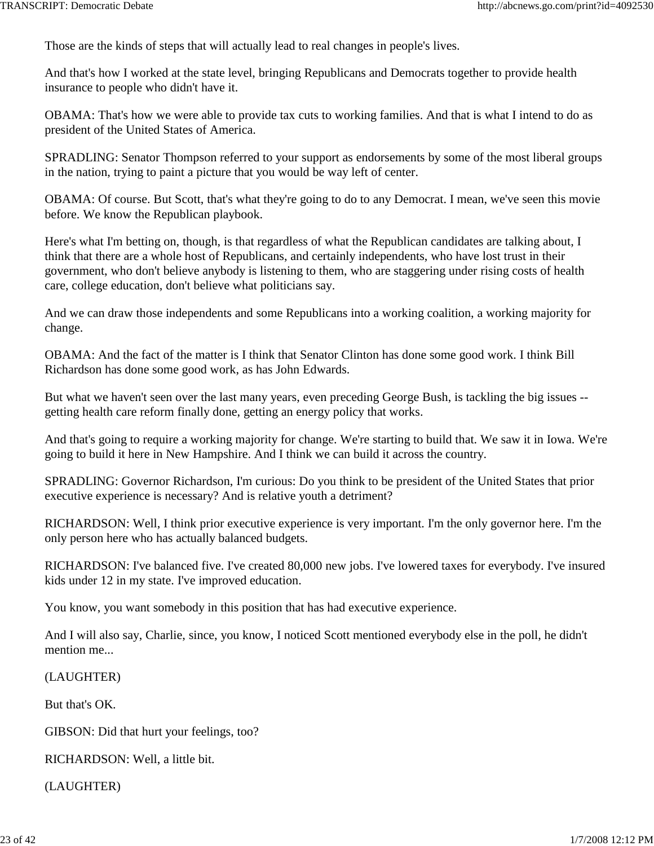Those are the kinds of steps that will actually lead to real changes in people's lives.

And that's how I worked at the state level, bringing Republicans and Democrats together to provide health insurance to people who didn't have it.

OBAMA: That's how we were able to provide tax cuts to working families. And that is what I intend to do as president of the United States of America.

SPRADLING: Senator Thompson referred to your support as endorsements by some of the most liberal groups in the nation, trying to paint a picture that you would be way left of center.

OBAMA: Of course. But Scott, that's what they're going to do to any Democrat. I mean, we've seen this movie before. We know the Republican playbook.

Here's what I'm betting on, though, is that regardless of what the Republican candidates are talking about, I think that there are a whole host of Republicans, and certainly independents, who have lost trust in their government, who don't believe anybody is listening to them, who are staggering under rising costs of health care, college education, don't believe what politicians say.

And we can draw those independents and some Republicans into a working coalition, a working majority for change.

OBAMA: And the fact of the matter is I think that Senator Clinton has done some good work. I think Bill Richardson has done some good work, as has John Edwards.

But what we haven't seen over the last many years, even preceding George Bush, is tackling the big issues - getting health care reform finally done, getting an energy policy that works.

And that's going to require a working majority for change. We're starting to build that. We saw it in Iowa. We're going to build it here in New Hampshire. And I think we can build it across the country.

SPRADLING: Governor Richardson, I'm curious: Do you think to be president of the United States that prior executive experience is necessary? And is relative youth a detriment?

RICHARDSON: Well, I think prior executive experience is very important. I'm the only governor here. I'm the only person here who has actually balanced budgets.

RICHARDSON: I've balanced five. I've created 80,000 new jobs. I've lowered taxes for everybody. I've insured kids under 12 in my state. I've improved education.

You know, you want somebody in this position that has had executive experience.

And I will also say, Charlie, since, you know, I noticed Scott mentioned everybody else in the poll, he didn't mention me...

(LAUGHTER)

But that's OK.

GIBSON: Did that hurt your feelings, too?

RICHARDSON: Well, a little bit.

(LAUGHTER)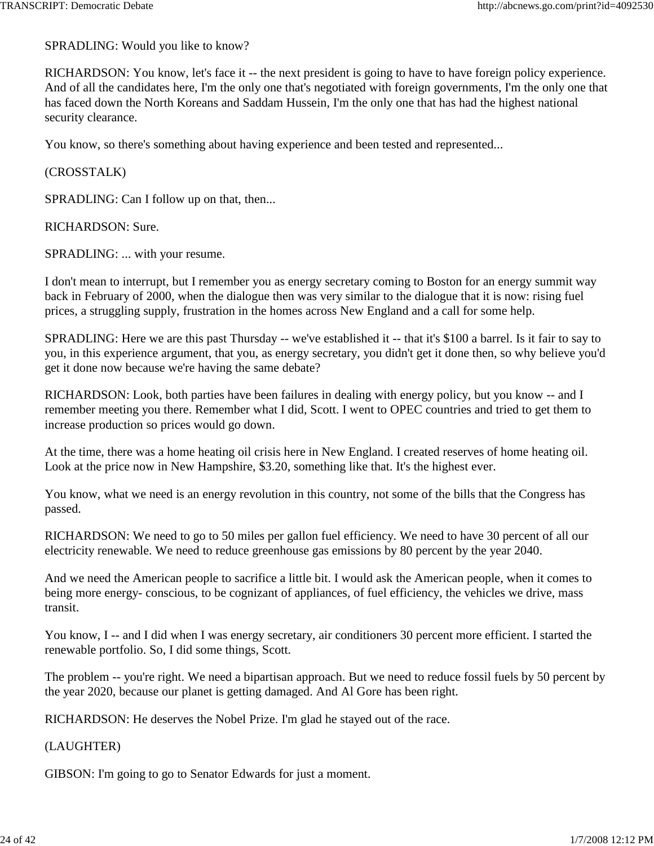# SPRADLING: Would you like to know?

RICHARDSON: You know, let's face it -- the next president is going to have to have foreign policy experience. And of all the candidates here, I'm the only one that's negotiated with foreign governments, I'm the only one that has faced down the North Koreans and Saddam Hussein, I'm the only one that has had the highest national security clearance.

You know, so there's something about having experience and been tested and represented...

# (CROSSTALK)

SPRADLING: Can I follow up on that, then...

# RICHARDSON: Sure.

SPRADLING: ... with your resume.

I don't mean to interrupt, but I remember you as energy secretary coming to Boston for an energy summit way back in February of 2000, when the dialogue then was very similar to the dialogue that it is now: rising fuel prices, a struggling supply, frustration in the homes across New England and a call for some help.

SPRADLING: Here we are this past Thursday -- we've established it -- that it's \$100 a barrel. Is it fair to say to you, in this experience argument, that you, as energy secretary, you didn't get it done then, so why believe you'd get it done now because we're having the same debate?

RICHARDSON: Look, both parties have been failures in dealing with energy policy, but you know -- and I remember meeting you there. Remember what I did, Scott. I went to OPEC countries and tried to get them to increase production so prices would go down.

At the time, there was a home heating oil crisis here in New England. I created reserves of home heating oil. Look at the price now in New Hampshire, \$3.20, something like that. It's the highest ever.

You know, what we need is an energy revolution in this country, not some of the bills that the Congress has passed.

RICHARDSON: We need to go to 50 miles per gallon fuel efficiency. We need to have 30 percent of all our electricity renewable. We need to reduce greenhouse gas emissions by 80 percent by the year 2040.

And we need the American people to sacrifice a little bit. I would ask the American people, when it comes to being more energy- conscious, to be cognizant of appliances, of fuel efficiency, the vehicles we drive, mass transit.

You know, I -- and I did when I was energy secretary, air conditioners 30 percent more efficient. I started the renewable portfolio. So, I did some things, Scott.

The problem -- you're right. We need a bipartisan approach. But we need to reduce fossil fuels by 50 percent by the year 2020, because our planet is getting damaged. And Al Gore has been right.

RICHARDSON: He deserves the Nobel Prize. I'm glad he stayed out of the race.

# (LAUGHTER)

GIBSON: I'm going to go to Senator Edwards for just a moment.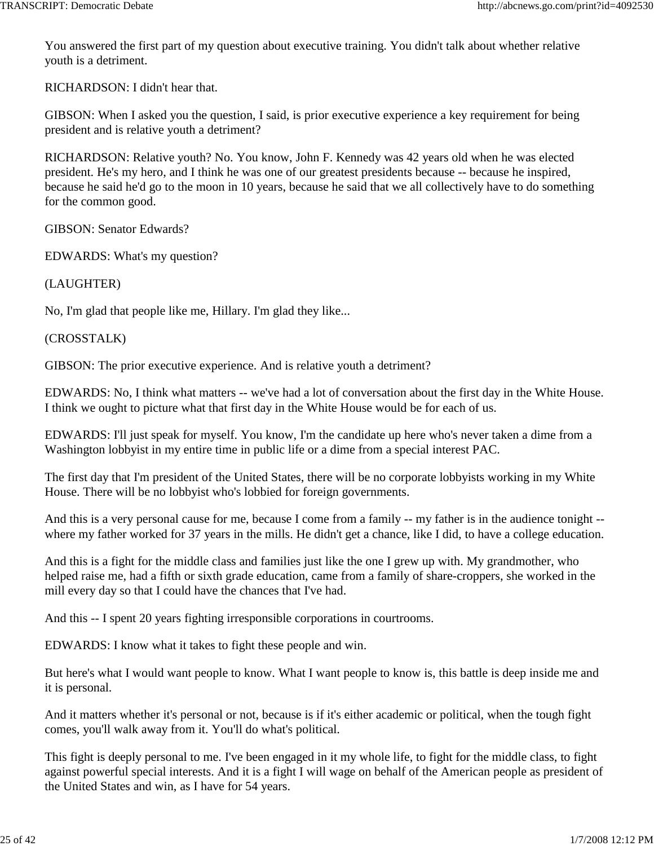You answered the first part of my question about executive training. You didn't talk about whether relative youth is a detriment.

RICHARDSON: I didn't hear that.

GIBSON: When I asked you the question, I said, is prior executive experience a key requirement for being president and is relative youth a detriment?

RICHARDSON: Relative youth? No. You know, John F. Kennedy was 42 years old when he was elected president. He's my hero, and I think he was one of our greatest presidents because -- because he inspired, because he said he'd go to the moon in 10 years, because he said that we all collectively have to do something for the common good.

GIBSON: Senator Edwards?

EDWARDS: What's my question?

(LAUGHTER)

No, I'm glad that people like me, Hillary. I'm glad they like...

(CROSSTALK)

GIBSON: The prior executive experience. And is relative youth a detriment?

EDWARDS: No, I think what matters -- we've had a lot of conversation about the first day in the White House. I think we ought to picture what that first day in the White House would be for each of us.

EDWARDS: I'll just speak for myself. You know, I'm the candidate up here who's never taken a dime from a Washington lobbyist in my entire time in public life or a dime from a special interest PAC.

The first day that I'm president of the United States, there will be no corporate lobbyists working in my White House. There will be no lobbyist who's lobbied for foreign governments.

And this is a very personal cause for me, because I come from a family -- my father is in the audience tonight - where my father worked for 37 years in the mills. He didn't get a chance, like I did, to have a college education.

And this is a fight for the middle class and families just like the one I grew up with. My grandmother, who helped raise me, had a fifth or sixth grade education, came from a family of share-croppers, she worked in the mill every day so that I could have the chances that I've had.

And this -- I spent 20 years fighting irresponsible corporations in courtrooms.

EDWARDS: I know what it takes to fight these people and win.

But here's what I would want people to know. What I want people to know is, this battle is deep inside me and it is personal.

And it matters whether it's personal or not, because is if it's either academic or political, when the tough fight comes, you'll walk away from it. You'll do what's political.

This fight is deeply personal to me. I've been engaged in it my whole life, to fight for the middle class, to fight against powerful special interests. And it is a fight I will wage on behalf of the American people as president of the United States and win, as I have for 54 years.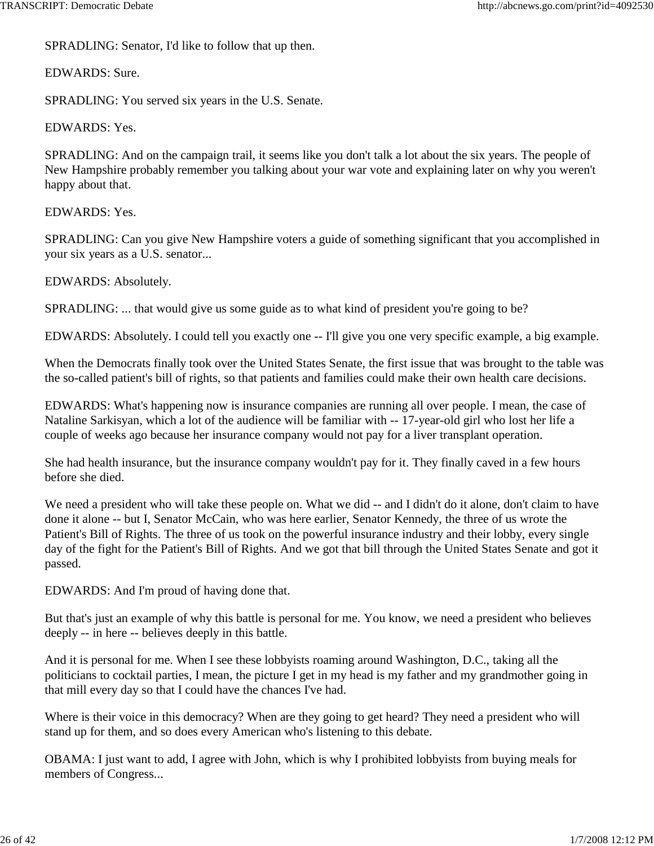SPRADLING: Senator, I'd like to follow that up then.

EDWARDS: Sure.

SPRADLING: You served six years in the U.S. Senate.

EDWARDS: Yes.

SPRADLING: And on the campaign trail, it seems like you don't talk a lot about the six years. The people of New Hampshire probably remember you talking about your war vote and explaining later on why you weren't happy about that.

EDWARDS: Yes.

SPRADLING: Can you give New Hampshire voters a guide of something significant that you accomplished in your six years as a U.S. senator...

EDWARDS: Absolutely.

SPRADLING: ... that would give us some guide as to what kind of president you're going to be?

EDWARDS: Absolutely. I could tell you exactly one -- I'll give you one very specific example, a big example.

When the Democrats finally took over the United States Senate, the first issue that was brought to the table was the so-called patient's bill of rights, so that patients and families could make their own health care decisions.

EDWARDS: What's happening now is insurance companies are running all over people. I mean, the case of Nataline Sarkisyan, which a lot of the audience will be familiar with -- 17-year-old girl who lost her life a couple of weeks ago because her insurance company would not pay for a liver transplant operation.

She had health insurance, but the insurance company wouldn't pay for it. They finally caved in a few hours before she died.

We need a president who will take these people on. What we did -- and I didn't do it alone, don't claim to have done it alone -- but I, Senator McCain, who was here earlier, Senator Kennedy, the three of us wrote the Patient's Bill of Rights. The three of us took on the powerful insurance industry and their lobby, every single day of the fight for the Patient's Bill of Rights. And we got that bill through the United States Senate and got it passed.

EDWARDS: And I'm proud of having done that.

But that's just an example of why this battle is personal for me. You know, we need a president who believes deeply -- in here -- believes deeply in this battle.

And it is personal for me. When I see these lobbyists roaming around Washington, D.C., taking all the politicians to cocktail parties, I mean, the picture I get in my head is my father and my grandmother going in that mill every day so that I could have the chances I've had.

Where is their voice in this democracy? When are they going to get heard? They need a president who will stand up for them, and so does every American who's listening to this debate.

OBAMA: I just want to add, I agree with John, which is why I prohibited lobbyists from buying meals for members of Congress...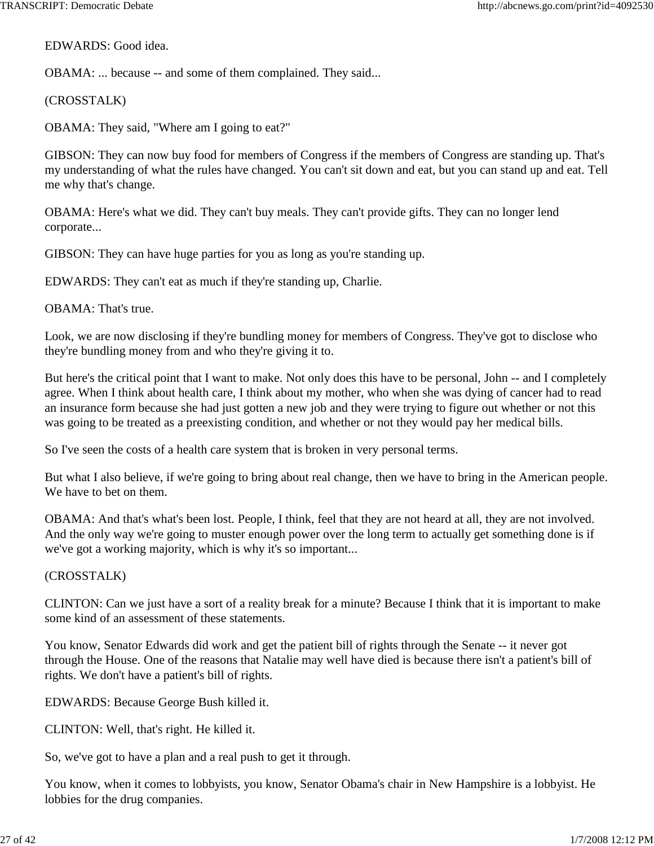EDWARDS: Good idea.

OBAMA: ... because -- and some of them complained. They said...

(CROSSTALK)

OBAMA: They said, "Where am I going to eat?"

GIBSON: They can now buy food for members of Congress if the members of Congress are standing up. That's my understanding of what the rules have changed. You can't sit down and eat, but you can stand up and eat. Tell me why that's change.

OBAMA: Here's what we did. They can't buy meals. They can't provide gifts. They can no longer lend corporate...

GIBSON: They can have huge parties for you as long as you're standing up.

EDWARDS: They can't eat as much if they're standing up, Charlie.

OBAMA: That's true.

Look, we are now disclosing if they're bundling money for members of Congress. They've got to disclose who they're bundling money from and who they're giving it to.

But here's the critical point that I want to make. Not only does this have to be personal, John -- and I completely agree. When I think about health care, I think about my mother, who when she was dying of cancer had to read an insurance form because she had just gotten a new job and they were trying to figure out whether or not this was going to be treated as a preexisting condition, and whether or not they would pay her medical bills.

So I've seen the costs of a health care system that is broken in very personal terms.

But what I also believe, if we're going to bring about real change, then we have to bring in the American people. We have to bet on them.

OBAMA: And that's what's been lost. People, I think, feel that they are not heard at all, they are not involved. And the only way we're going to muster enough power over the long term to actually get something done is if we've got a working majority, which is why it's so important...

# (CROSSTALK)

CLINTON: Can we just have a sort of a reality break for a minute? Because I think that it is important to make some kind of an assessment of these statements.

You know, Senator Edwards did work and get the patient bill of rights through the Senate -- it never got through the House. One of the reasons that Natalie may well have died is because there isn't a patient's bill of rights. We don't have a patient's bill of rights.

EDWARDS: Because George Bush killed it.

CLINTON: Well, that's right. He killed it.

So, we've got to have a plan and a real push to get it through.

You know, when it comes to lobbyists, you know, Senator Obama's chair in New Hampshire is a lobbyist. He lobbies for the drug companies.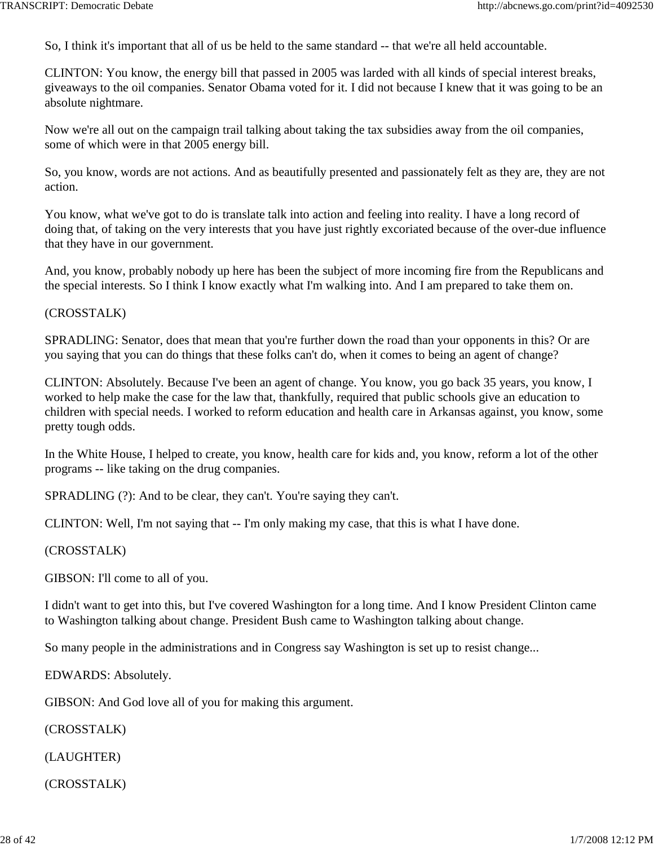So, I think it's important that all of us be held to the same standard -- that we're all held accountable.

CLINTON: You know, the energy bill that passed in 2005 was larded with all kinds of special interest breaks, giveaways to the oil companies. Senator Obama voted for it. I did not because I knew that it was going to be an absolute nightmare.

Now we're all out on the campaign trail talking about taking the tax subsidies away from the oil companies, some of which were in that 2005 energy bill.

So, you know, words are not actions. And as beautifully presented and passionately felt as they are, they are not action.

You know, what we've got to do is translate talk into action and feeling into reality. I have a long record of doing that, of taking on the very interests that you have just rightly excoriated because of the over-due influence that they have in our government.

And, you know, probably nobody up here has been the subject of more incoming fire from the Republicans and the special interests. So I think I know exactly what I'm walking into. And I am prepared to take them on.

#### (CROSSTALK)

SPRADLING: Senator, does that mean that you're further down the road than your opponents in this? Or are you saying that you can do things that these folks can't do, when it comes to being an agent of change?

CLINTON: Absolutely. Because I've been an agent of change. You know, you go back 35 years, you know, I worked to help make the case for the law that, thankfully, required that public schools give an education to children with special needs. I worked to reform education and health care in Arkansas against, you know, some pretty tough odds.

In the White House, I helped to create, you know, health care for kids and, you know, reform a lot of the other programs -- like taking on the drug companies.

SPRADLING (?): And to be clear, they can't. You're saying they can't.

CLINTON: Well, I'm not saying that -- I'm only making my case, that this is what I have done.

#### (CROSSTALK)

GIBSON: I'll come to all of you.

I didn't want to get into this, but I've covered Washington for a long time. And I know President Clinton came to Washington talking about change. President Bush came to Washington talking about change.

So many people in the administrations and in Congress say Washington is set up to resist change...

EDWARDS: Absolutely.

GIBSON: And God love all of you for making this argument.

(CROSSTALK)

(LAUGHTER)

(CROSSTALK)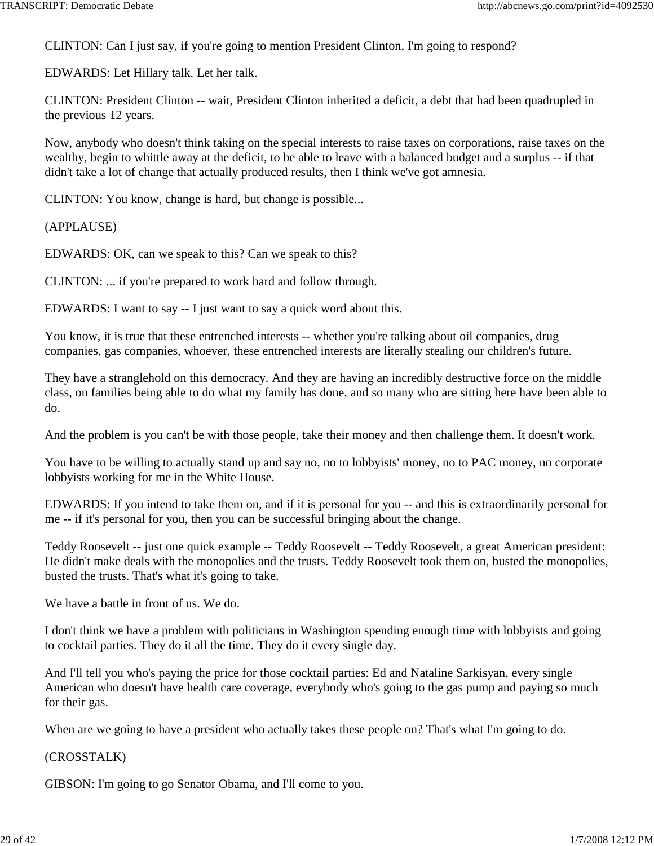CLINTON: Can I just say, if you're going to mention President Clinton, I'm going to respond?

EDWARDS: Let Hillary talk. Let her talk.

CLINTON: President Clinton -- wait, President Clinton inherited a deficit, a debt that had been quadrupled in the previous 12 years.

Now, anybody who doesn't think taking on the special interests to raise taxes on corporations, raise taxes on the wealthy, begin to whittle away at the deficit, to be able to leave with a balanced budget and a surplus -- if that didn't take a lot of change that actually produced results, then I think we've got amnesia.

CLINTON: You know, change is hard, but change is possible...

(APPLAUSE)

EDWARDS: OK, can we speak to this? Can we speak to this?

CLINTON: ... if you're prepared to work hard and follow through.

EDWARDS: I want to say -- I just want to say a quick word about this.

You know, it is true that these entrenched interests -- whether you're talking about oil companies, drug companies, gas companies, whoever, these entrenched interests are literally stealing our children's future.

They have a stranglehold on this democracy. And they are having an incredibly destructive force on the middle class, on families being able to do what my family has done, and so many who are sitting here have been able to do.

And the problem is you can't be with those people, take their money and then challenge them. It doesn't work.

You have to be willing to actually stand up and say no, no to lobbyists' money, no to PAC money, no corporate lobbyists working for me in the White House.

EDWARDS: If you intend to take them on, and if it is personal for you -- and this is extraordinarily personal for me -- if it's personal for you, then you can be successful bringing about the change.

Teddy Roosevelt -- just one quick example -- Teddy Roosevelt -- Teddy Roosevelt, a great American president: He didn't make deals with the monopolies and the trusts. Teddy Roosevelt took them on, busted the monopolies, busted the trusts. That's what it's going to take.

We have a battle in front of us. We do.

I don't think we have a problem with politicians in Washington spending enough time with lobbyists and going to cocktail parties. They do it all the time. They do it every single day.

And I'll tell you who's paying the price for those cocktail parties: Ed and Nataline Sarkisyan, every single American who doesn't have health care coverage, everybody who's going to the gas pump and paying so much for their gas.

When are we going to have a president who actually takes these people on? That's what I'm going to do.

#### (CROSSTALK)

GIBSON: I'm going to go Senator Obama, and I'll come to you.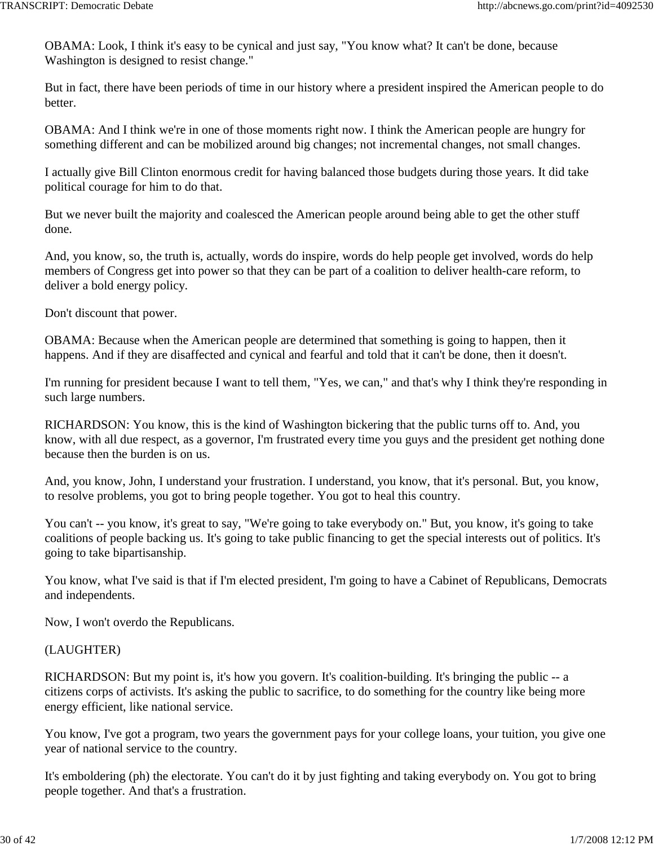OBAMA: Look, I think it's easy to be cynical and just say, "You know what? It can't be done, because Washington is designed to resist change."

But in fact, there have been periods of time in our history where a president inspired the American people to do better.

OBAMA: And I think we're in one of those moments right now. I think the American people are hungry for something different and can be mobilized around big changes; not incremental changes, not small changes.

I actually give Bill Clinton enormous credit for having balanced those budgets during those years. It did take political courage for him to do that.

But we never built the majority and coalesced the American people around being able to get the other stuff done.

And, you know, so, the truth is, actually, words do inspire, words do help people get involved, words do help members of Congress get into power so that they can be part of a coalition to deliver health-care reform, to deliver a bold energy policy.

Don't discount that power.

OBAMA: Because when the American people are determined that something is going to happen, then it happens. And if they are disaffected and cynical and fearful and told that it can't be done, then it doesn't.

I'm running for president because I want to tell them, "Yes, we can," and that's why I think they're responding in such large numbers.

RICHARDSON: You know, this is the kind of Washington bickering that the public turns off to. And, you know, with all due respect, as a governor, I'm frustrated every time you guys and the president get nothing done because then the burden is on us.

And, you know, John, I understand your frustration. I understand, you know, that it's personal. But, you know, to resolve problems, you got to bring people together. You got to heal this country.

You can't -- you know, it's great to say, "We're going to take everybody on." But, you know, it's going to take coalitions of people backing us. It's going to take public financing to get the special interests out of politics. It's going to take bipartisanship.

You know, what I've said is that if I'm elected president, I'm going to have a Cabinet of Republicans, Democrats and independents.

Now, I won't overdo the Republicans.

# (LAUGHTER)

RICHARDSON: But my point is, it's how you govern. It's coalition-building. It's bringing the public -- a citizens corps of activists. It's asking the public to sacrifice, to do something for the country like being more energy efficient, like national service.

You know, I've got a program, two years the government pays for your college loans, your tuition, you give one year of national service to the country.

It's emboldering (ph) the electorate. You can't do it by just fighting and taking everybody on. You got to bring people together. And that's a frustration.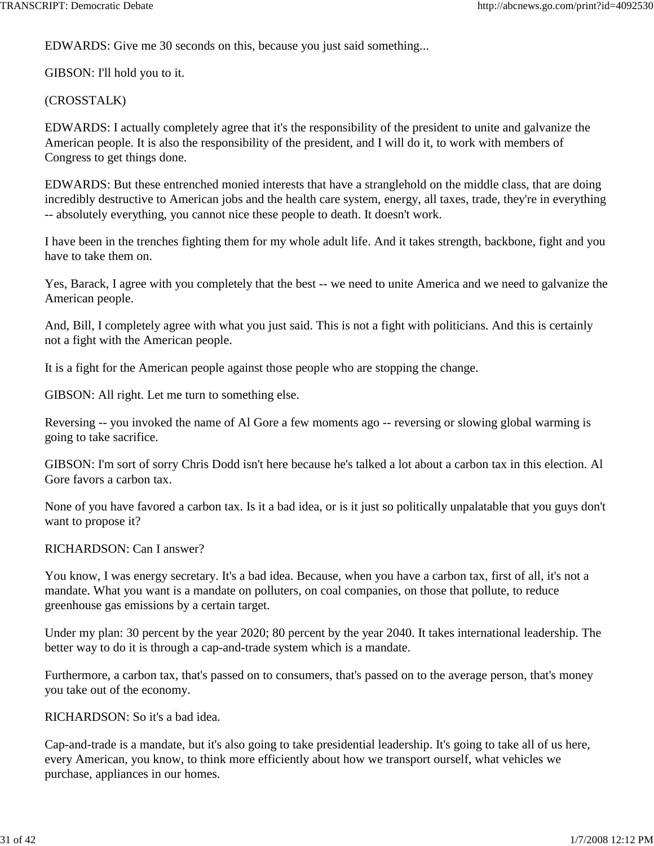EDWARDS: Give me 30 seconds on this, because you just said something...

GIBSON: I'll hold you to it.

(CROSSTALK)

EDWARDS: I actually completely agree that it's the responsibility of the president to unite and galvanize the American people. It is also the responsibility of the president, and I will do it, to work with members of Congress to get things done.

EDWARDS: But these entrenched monied interests that have a stranglehold on the middle class, that are doing incredibly destructive to American jobs and the health care system, energy, all taxes, trade, they're in everything -- absolutely everything, you cannot nice these people to death. It doesn't work.

I have been in the trenches fighting them for my whole adult life. And it takes strength, backbone, fight and you have to take them on.

Yes, Barack, I agree with you completely that the best -- we need to unite America and we need to galvanize the American people.

And, Bill, I completely agree with what you just said. This is not a fight with politicians. And this is certainly not a fight with the American people.

It is a fight for the American people against those people who are stopping the change.

GIBSON: All right. Let me turn to something else.

Reversing -- you invoked the name of Al Gore a few moments ago -- reversing or slowing global warming is going to take sacrifice.

GIBSON: I'm sort of sorry Chris Dodd isn't here because he's talked a lot about a carbon tax in this election. Al Gore favors a carbon tax.

None of you have favored a carbon tax. Is it a bad idea, or is it just so politically unpalatable that you guys don't want to propose it?

# RICHARDSON: Can I answer?

You know, I was energy secretary. It's a bad idea. Because, when you have a carbon tax, first of all, it's not a mandate. What you want is a mandate on polluters, on coal companies, on those that pollute, to reduce greenhouse gas emissions by a certain target.

Under my plan: 30 percent by the year 2020; 80 percent by the year 2040. It takes international leadership. The better way to do it is through a cap-and-trade system which is a mandate.

Furthermore, a carbon tax, that's passed on to consumers, that's passed on to the average person, that's money you take out of the economy.

# RICHARDSON: So it's a bad idea.

Cap-and-trade is a mandate, but it's also going to take presidential leadership. It's going to take all of us here, every American, you know, to think more efficiently about how we transport ourself, what vehicles we purchase, appliances in our homes.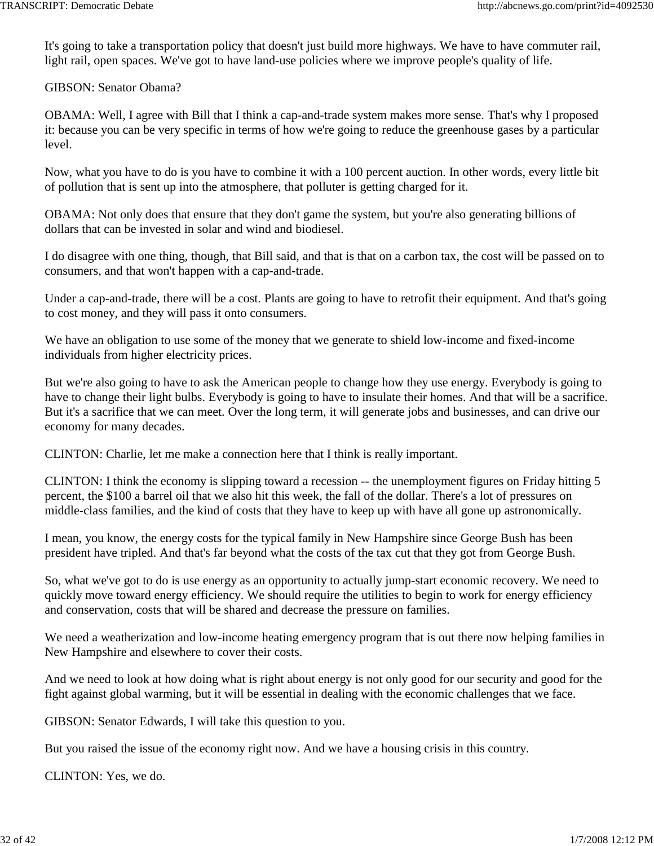It's going to take a transportation policy that doesn't just build more highways. We have to have commuter rail, light rail, open spaces. We've got to have land-use policies where we improve people's quality of life.

GIBSON: Senator Obama?

OBAMA: Well, I agree with Bill that I think a cap-and-trade system makes more sense. That's why I proposed it: because you can be very specific in terms of how we're going to reduce the greenhouse gases by a particular level.

Now, what you have to do is you have to combine it with a 100 percent auction. In other words, every little bit of pollution that is sent up into the atmosphere, that polluter is getting charged for it.

OBAMA: Not only does that ensure that they don't game the system, but you're also generating billions of dollars that can be invested in solar and wind and biodiesel.

I do disagree with one thing, though, that Bill said, and that is that on a carbon tax, the cost will be passed on to consumers, and that won't happen with a cap-and-trade.

Under a cap-and-trade, there will be a cost. Plants are going to have to retrofit their equipment. And that's going to cost money, and they will pass it onto consumers.

We have an obligation to use some of the money that we generate to shield low-income and fixed-income individuals from higher electricity prices.

But we're also going to have to ask the American people to change how they use energy. Everybody is going to have to change their light bulbs. Everybody is going to have to insulate their homes. And that will be a sacrifice. But it's a sacrifice that we can meet. Over the long term, it will generate jobs and businesses, and can drive our economy for many decades.

CLINTON: Charlie, let me make a connection here that I think is really important.

CLINTON: I think the economy is slipping toward a recession -- the unemployment figures on Friday hitting 5 percent, the \$100 a barrel oil that we also hit this week, the fall of the dollar. There's a lot of pressures on middle-class families, and the kind of costs that they have to keep up with have all gone up astronomically.

I mean, you know, the energy costs for the typical family in New Hampshire since George Bush has been president have tripled. And that's far beyond what the costs of the tax cut that they got from George Bush.

So, what we've got to do is use energy as an opportunity to actually jump-start economic recovery. We need to quickly move toward energy efficiency. We should require the utilities to begin to work for energy efficiency and conservation, costs that will be shared and decrease the pressure on families.

We need a weatherization and low-income heating emergency program that is out there now helping families in New Hampshire and elsewhere to cover their costs.

And we need to look at how doing what is right about energy is not only good for our security and good for the fight against global warming, but it will be essential in dealing with the economic challenges that we face.

GIBSON: Senator Edwards, I will take this question to you.

But you raised the issue of the economy right now. And we have a housing crisis in this country.

CLINTON: Yes, we do.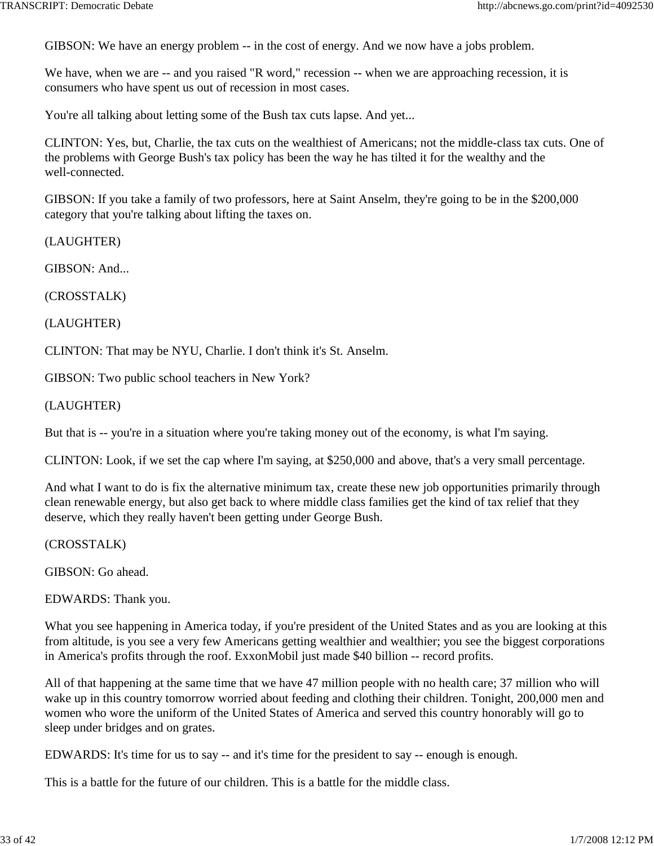GIBSON: We have an energy problem -- in the cost of energy. And we now have a jobs problem.

We have, when we are -- and you raised "R word," recession -- when we are approaching recession, it is consumers who have spent us out of recession in most cases.

You're all talking about letting some of the Bush tax cuts lapse. And yet...

CLINTON: Yes, but, Charlie, the tax cuts on the wealthiest of Americans; not the middle-class tax cuts. One of the problems with George Bush's tax policy has been the way he has tilted it for the wealthy and the well-connected.

GIBSON: If you take a family of two professors, here at Saint Anselm, they're going to be in the \$200,000 category that you're talking about lifting the taxes on.

(LAUGHTER)

GIBSON: And...

(CROSSTALK)

(LAUGHTER)

CLINTON: That may be NYU, Charlie. I don't think it's St. Anselm.

GIBSON: Two public school teachers in New York?

(LAUGHTER)

But that is -- you're in a situation where you're taking money out of the economy, is what I'm saying.

CLINTON: Look, if we set the cap where I'm saying, at \$250,000 and above, that's a very small percentage.

And what I want to do is fix the alternative minimum tax, create these new job opportunities primarily through clean renewable energy, but also get back to where middle class families get the kind of tax relief that they deserve, which they really haven't been getting under George Bush.

(CROSSTALK)

GIBSON: Go ahead.

EDWARDS: Thank you.

What you see happening in America today, if you're president of the United States and as you are looking at this from altitude, is you see a very few Americans getting wealthier and wealthier; you see the biggest corporations in America's profits through the roof. ExxonMobil just made \$40 billion -- record profits.

All of that happening at the same time that we have 47 million people with no health care; 37 million who will wake up in this country tomorrow worried about feeding and clothing their children. Tonight, 200,000 men and women who wore the uniform of the United States of America and served this country honorably will go to sleep under bridges and on grates.

EDWARDS: It's time for us to say -- and it's time for the president to say -- enough is enough.

This is a battle for the future of our children. This is a battle for the middle class.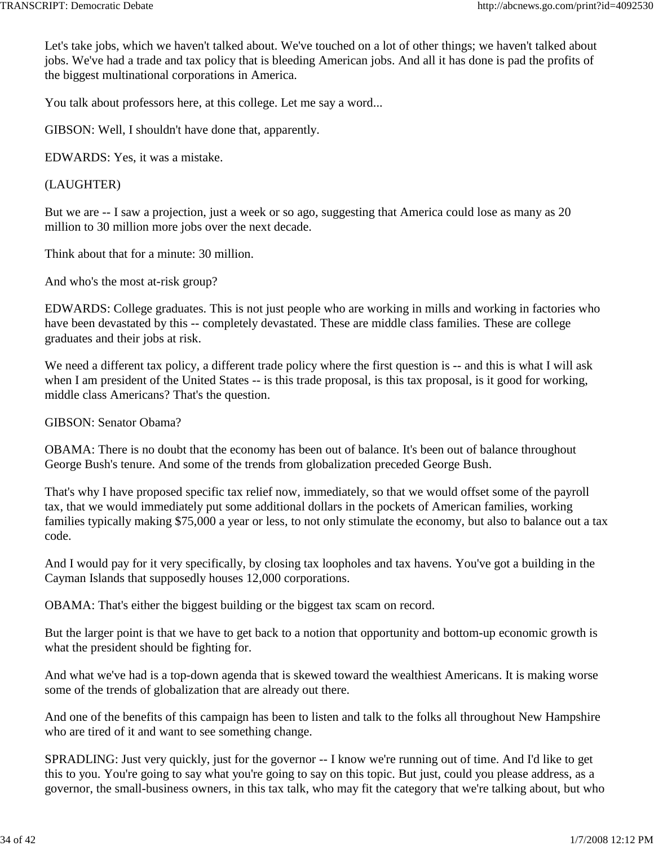Let's take jobs, which we haven't talked about. We've touched on a lot of other things; we haven't talked about jobs. We've had a trade and tax policy that is bleeding American jobs. And all it has done is pad the profits of the biggest multinational corporations in America.

You talk about professors here, at this college. Let me say a word...

GIBSON: Well, I shouldn't have done that, apparently.

EDWARDS: Yes, it was a mistake.

#### (LAUGHTER)

But we are -- I saw a projection, just a week or so ago, suggesting that America could lose as many as 20 million to 30 million more jobs over the next decade.

Think about that for a minute: 30 million.

And who's the most at-risk group?

EDWARDS: College graduates. This is not just people who are working in mills and working in factories who have been devastated by this -- completely devastated. These are middle class families. These are college graduates and their jobs at risk.

We need a different tax policy, a different trade policy where the first question is -- and this is what I will ask when I am president of the United States -- is this trade proposal, is this tax proposal, is it good for working, middle class Americans? That's the question.

GIBSON: Senator Obama?

OBAMA: There is no doubt that the economy has been out of balance. It's been out of balance throughout George Bush's tenure. And some of the trends from globalization preceded George Bush.

That's why I have proposed specific tax relief now, immediately, so that we would offset some of the payroll tax, that we would immediately put some additional dollars in the pockets of American families, working families typically making \$75,000 a year or less, to not only stimulate the economy, but also to balance out a tax code.

And I would pay for it very specifically, by closing tax loopholes and tax havens. You've got a building in the Cayman Islands that supposedly houses 12,000 corporations.

OBAMA: That's either the biggest building or the biggest tax scam on record.

But the larger point is that we have to get back to a notion that opportunity and bottom-up economic growth is what the president should be fighting for.

And what we've had is a top-down agenda that is skewed toward the wealthiest Americans. It is making worse some of the trends of globalization that are already out there.

And one of the benefits of this campaign has been to listen and talk to the folks all throughout New Hampshire who are tired of it and want to see something change.

SPRADLING: Just very quickly, just for the governor -- I know we're running out of time. And I'd like to get this to you. You're going to say what you're going to say on this topic. But just, could you please address, as a governor, the small-business owners, in this tax talk, who may fit the category that we're talking about, but who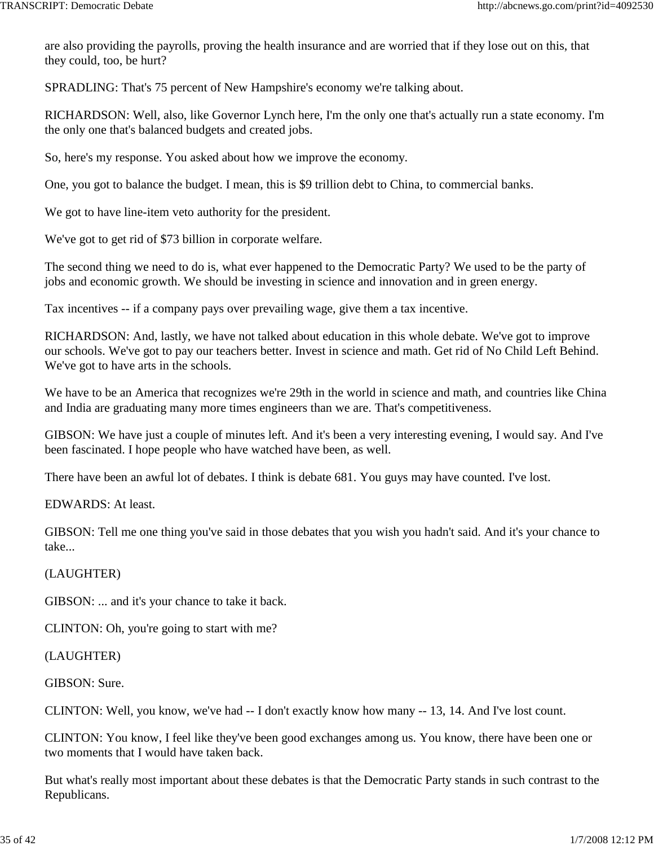are also providing the payrolls, proving the health insurance and are worried that if they lose out on this, that they could, too, be hurt?

SPRADLING: That's 75 percent of New Hampshire's economy we're talking about.

RICHARDSON: Well, also, like Governor Lynch here, I'm the only one that's actually run a state economy. I'm the only one that's balanced budgets and created jobs.

So, here's my response. You asked about how we improve the economy.

One, you got to balance the budget. I mean, this is \$9 trillion debt to China, to commercial banks.

We got to have line-item veto authority for the president.

We've got to get rid of \$73 billion in corporate welfare.

The second thing we need to do is, what ever happened to the Democratic Party? We used to be the party of jobs and economic growth. We should be investing in science and innovation and in green energy.

Tax incentives -- if a company pays over prevailing wage, give them a tax incentive.

RICHARDSON: And, lastly, we have not talked about education in this whole debate. We've got to improve our schools. We've got to pay our teachers better. Invest in science and math. Get rid of No Child Left Behind. We've got to have arts in the schools.

We have to be an America that recognizes we're 29th in the world in science and math, and countries like China and India are graduating many more times engineers than we are. That's competitiveness.

GIBSON: We have just a couple of minutes left. And it's been a very interesting evening, I would say. And I've been fascinated. I hope people who have watched have been, as well.

There have been an awful lot of debates. I think is debate 681. You guys may have counted. I've lost.

EDWARDS: At least.

GIBSON: Tell me one thing you've said in those debates that you wish you hadn't said. And it's your chance to take...

(LAUGHTER)

GIBSON: ... and it's your chance to take it back.

CLINTON: Oh, you're going to start with me?

(LAUGHTER)

GIBSON: Sure.

CLINTON: Well, you know, we've had -- I don't exactly know how many -- 13, 14. And I've lost count.

CLINTON: You know, I feel like they've been good exchanges among us. You know, there have been one or two moments that I would have taken back.

But what's really most important about these debates is that the Democratic Party stands in such contrast to the Republicans.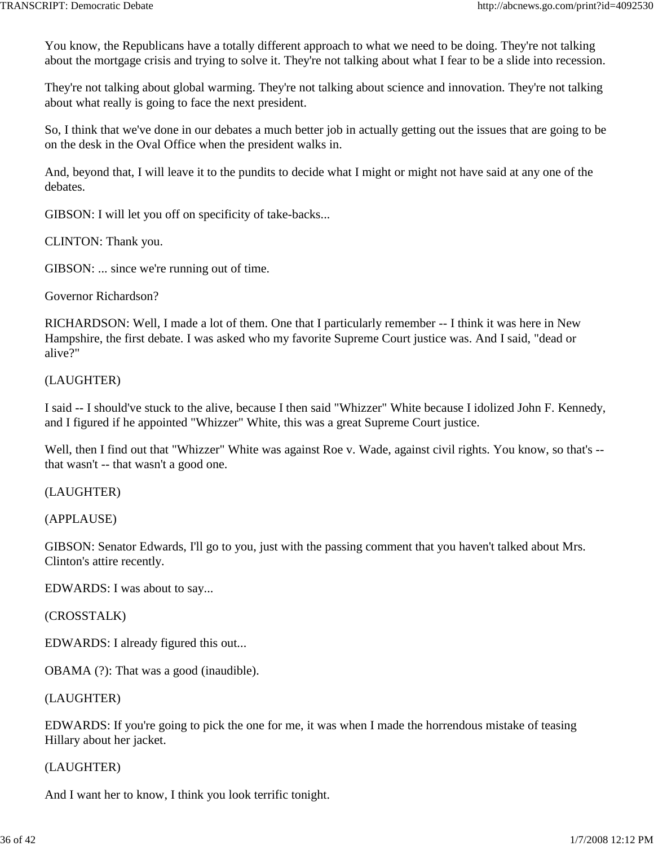You know, the Republicans have a totally different approach to what we need to be doing. They're not talking about the mortgage crisis and trying to solve it. They're not talking about what I fear to be a slide into recession.

They're not talking about global warming. They're not talking about science and innovation. They're not talking about what really is going to face the next president.

So, I think that we've done in our debates a much better job in actually getting out the issues that are going to be on the desk in the Oval Office when the president walks in.

And, beyond that, I will leave it to the pundits to decide what I might or might not have said at any one of the debates.

GIBSON: I will let you off on specificity of take-backs...

CLINTON: Thank you.

GIBSON: ... since we're running out of time.

Governor Richardson?

RICHARDSON: Well, I made a lot of them. One that I particularly remember -- I think it was here in New Hampshire, the first debate. I was asked who my favorite Supreme Court justice was. And I said, "dead or alive?"

# (LAUGHTER)

I said -- I should've stuck to the alive, because I then said "Whizzer" White because I idolized John F. Kennedy, and I figured if he appointed "Whizzer" White, this was a great Supreme Court justice.

Well, then I find out that "Whizzer" White was against Roe v. Wade, against civil rights. You know, so that's -that wasn't -- that wasn't a good one.

# (LAUGHTER)

(APPLAUSE)

GIBSON: Senator Edwards, I'll go to you, just with the passing comment that you haven't talked about Mrs. Clinton's attire recently.

EDWARDS: I was about to say...

# (CROSSTALK)

EDWARDS: I already figured this out...

OBAMA (?): That was a good (inaudible).

# (LAUGHTER)

EDWARDS: If you're going to pick the one for me, it was when I made the horrendous mistake of teasing Hillary about her jacket.

# (LAUGHTER)

And I want her to know, I think you look terrific tonight.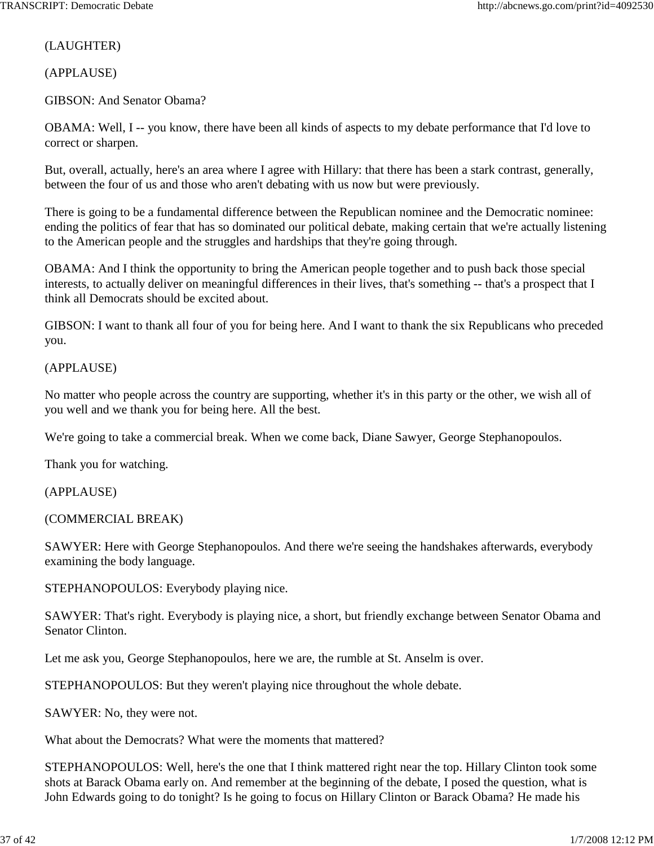(LAUGHTER)

(APPLAUSE)

GIBSON: And Senator Obama?

OBAMA: Well, I -- you know, there have been all kinds of aspects to my debate performance that I'd love to correct or sharpen.

But, overall, actually, here's an area where I agree with Hillary: that there has been a stark contrast, generally, between the four of us and those who aren't debating with us now but were previously.

There is going to be a fundamental difference between the Republican nominee and the Democratic nominee: ending the politics of fear that has so dominated our political debate, making certain that we're actually listening to the American people and the struggles and hardships that they're going through.

OBAMA: And I think the opportunity to bring the American people together and to push back those special interests, to actually deliver on meaningful differences in their lives, that's something -- that's a prospect that I think all Democrats should be excited about.

GIBSON: I want to thank all four of you for being here. And I want to thank the six Republicans who preceded you.

# (APPLAUSE)

No matter who people across the country are supporting, whether it's in this party or the other, we wish all of you well and we thank you for being here. All the best.

We're going to take a commercial break. When we come back, Diane Sawyer, George Stephanopoulos.

Thank you for watching.

(APPLAUSE)

# (COMMERCIAL BREAK)

SAWYER: Here with George Stephanopoulos. And there we're seeing the handshakes afterwards, everybody examining the body language.

STEPHANOPOULOS: Everybody playing nice.

SAWYER: That's right. Everybody is playing nice, a short, but friendly exchange between Senator Obama and Senator Clinton.

Let me ask you, George Stephanopoulos, here we are, the rumble at St. Anselm is over.

STEPHANOPOULOS: But they weren't playing nice throughout the whole debate.

SAWYER: No, they were not.

What about the Democrats? What were the moments that mattered?

STEPHANOPOULOS: Well, here's the one that I think mattered right near the top. Hillary Clinton took some shots at Barack Obama early on. And remember at the beginning of the debate, I posed the question, what is John Edwards going to do tonight? Is he going to focus on Hillary Clinton or Barack Obama? He made his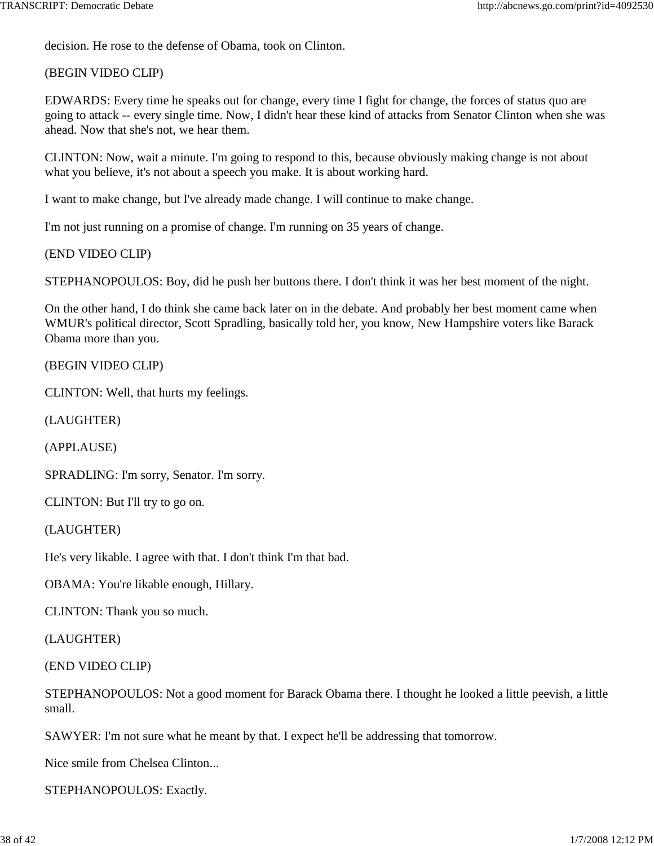decision. He rose to the defense of Obama, took on Clinton.

(BEGIN VIDEO CLIP)

EDWARDS: Every time he speaks out for change, every time I fight for change, the forces of status quo are going to attack -- every single time. Now, I didn't hear these kind of attacks from Senator Clinton when she was ahead. Now that she's not, we hear them.

CLINTON: Now, wait a minute. I'm going to respond to this, because obviously making change is not about what you believe, it's not about a speech you make. It is about working hard.

I want to make change, but I've already made change. I will continue to make change.

I'm not just running on a promise of change. I'm running on 35 years of change.

(END VIDEO CLIP)

STEPHANOPOULOS: Boy, did he push her buttons there. I don't think it was her best moment of the night.

On the other hand, I do think she came back later on in the debate. And probably her best moment came when WMUR's political director, Scott Spradling, basically told her, you know, New Hampshire voters like Barack Obama more than you.

(BEGIN VIDEO CLIP)

CLINTON: Well, that hurts my feelings.

(LAUGHTER)

(APPLAUSE)

SPRADLING: I'm sorry, Senator. I'm sorry.

CLINTON: But I'll try to go on.

(LAUGHTER)

He's very likable. I agree with that. I don't think I'm that bad.

OBAMA: You're likable enough, Hillary.

CLINTON: Thank you so much.

(LAUGHTER)

(END VIDEO CLIP)

STEPHANOPOULOS: Not a good moment for Barack Obama there. I thought he looked a little peevish, a little small.

SAWYER: I'm not sure what he meant by that. I expect he'll be addressing that tomorrow.

Nice smile from Chelsea Clinton...

STEPHANOPOULOS: Exactly.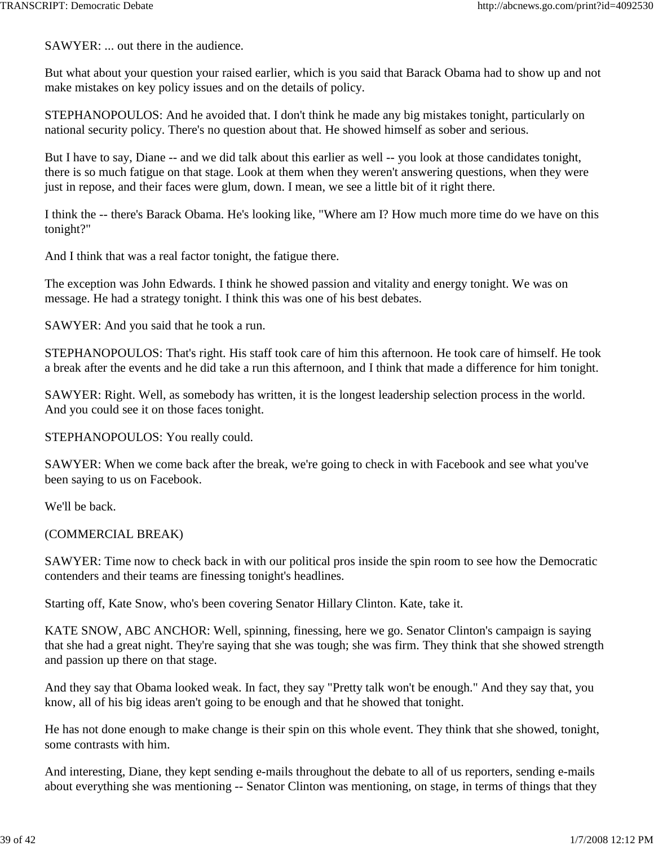SAWYER: ... out there in the audience.

But what about your question your raised earlier, which is you said that Barack Obama had to show up and not make mistakes on key policy issues and on the details of policy.

STEPHANOPOULOS: And he avoided that. I don't think he made any big mistakes tonight, particularly on national security policy. There's no question about that. He showed himself as sober and serious.

But I have to say, Diane -- and we did talk about this earlier as well -- you look at those candidates tonight, there is so much fatigue on that stage. Look at them when they weren't answering questions, when they were just in repose, and their faces were glum, down. I mean, we see a little bit of it right there.

I think the -- there's Barack Obama. He's looking like, "Where am I? How much more time do we have on this tonight?"

And I think that was a real factor tonight, the fatigue there.

The exception was John Edwards. I think he showed passion and vitality and energy tonight. We was on message. He had a strategy tonight. I think this was one of his best debates.

SAWYER: And you said that he took a run.

STEPHANOPOULOS: That's right. His staff took care of him this afternoon. He took care of himself. He took a break after the events and he did take a run this afternoon, and I think that made a difference for him tonight.

SAWYER: Right. Well, as somebody has written, it is the longest leadership selection process in the world. And you could see it on those faces tonight.

STEPHANOPOULOS: You really could.

SAWYER: When we come back after the break, we're going to check in with Facebook and see what you've been saying to us on Facebook.

We'll be back.

# (COMMERCIAL BREAK)

SAWYER: Time now to check back in with our political pros inside the spin room to see how the Democratic contenders and their teams are finessing tonight's headlines.

Starting off, Kate Snow, who's been covering Senator Hillary Clinton. Kate, take it.

KATE SNOW, ABC ANCHOR: Well, spinning, finessing, here we go. Senator Clinton's campaign is saying that she had a great night. They're saying that she was tough; she was firm. They think that she showed strength and passion up there on that stage.

And they say that Obama looked weak. In fact, they say "Pretty talk won't be enough." And they say that, you know, all of his big ideas aren't going to be enough and that he showed that tonight.

He has not done enough to make change is their spin on this whole event. They think that she showed, tonight, some contrasts with him.

And interesting, Diane, they kept sending e-mails throughout the debate to all of us reporters, sending e-mails about everything she was mentioning -- Senator Clinton was mentioning, on stage, in terms of things that they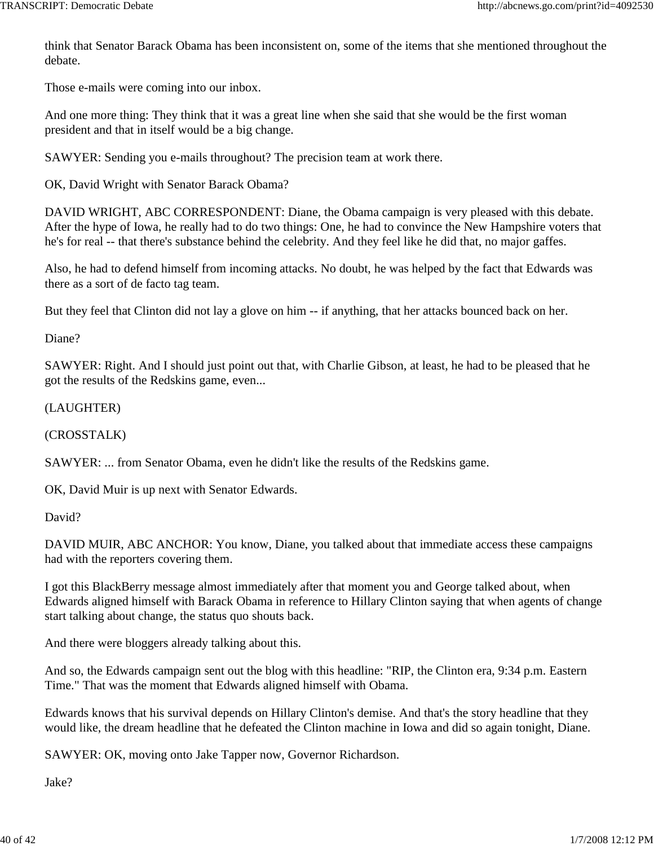think that Senator Barack Obama has been inconsistent on, some of the items that she mentioned throughout the debate.

Those e-mails were coming into our inbox.

And one more thing: They think that it was a great line when she said that she would be the first woman president and that in itself would be a big change.

SAWYER: Sending you e-mails throughout? The precision team at work there.

OK, David Wright with Senator Barack Obama?

DAVID WRIGHT, ABC CORRESPONDENT: Diane, the Obama campaign is very pleased with this debate. After the hype of Iowa, he really had to do two things: One, he had to convince the New Hampshire voters that he's for real -- that there's substance behind the celebrity. And they feel like he did that, no major gaffes.

Also, he had to defend himself from incoming attacks. No doubt, he was helped by the fact that Edwards was there as a sort of de facto tag team.

But they feel that Clinton did not lay a glove on him -- if anything, that her attacks bounced back on her.

Diane?

SAWYER: Right. And I should just point out that, with Charlie Gibson, at least, he had to be pleased that he got the results of the Redskins game, even...

(LAUGHTER)

(CROSSTALK)

SAWYER: ... from Senator Obama, even he didn't like the results of the Redskins game.

OK, David Muir is up next with Senator Edwards.

David?

DAVID MUIR, ABC ANCHOR: You know, Diane, you talked about that immediate access these campaigns had with the reporters covering them.

I got this BlackBerry message almost immediately after that moment you and George talked about, when Edwards aligned himself with Barack Obama in reference to Hillary Clinton saying that when agents of change start talking about change, the status quo shouts back.

And there were bloggers already talking about this.

And so, the Edwards campaign sent out the blog with this headline: "RIP, the Clinton era, 9:34 p.m. Eastern Time." That was the moment that Edwards aligned himself with Obama.

Edwards knows that his survival depends on Hillary Clinton's demise. And that's the story headline that they would like, the dream headline that he defeated the Clinton machine in Iowa and did so again tonight, Diane.

SAWYER: OK, moving onto Jake Tapper now, Governor Richardson.

Jake?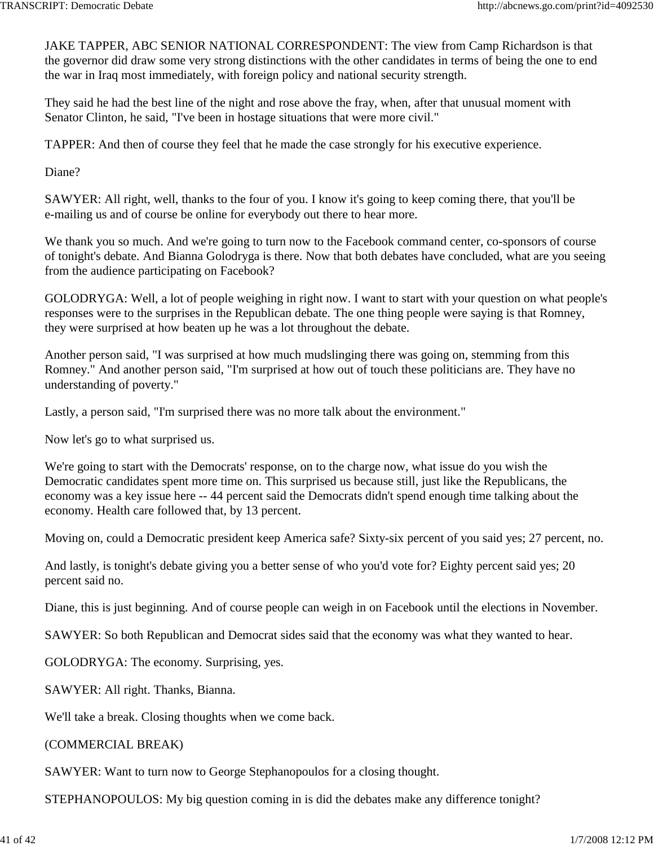JAKE TAPPER, ABC SENIOR NATIONAL CORRESPONDENT: The view from Camp Richardson is that the governor did draw some very strong distinctions with the other candidates in terms of being the one to end the war in Iraq most immediately, with foreign policy and national security strength.

They said he had the best line of the night and rose above the fray, when, after that unusual moment with Senator Clinton, he said, "I've been in hostage situations that were more civil."

TAPPER: And then of course they feel that he made the case strongly for his executive experience.

Diane?

SAWYER: All right, well, thanks to the four of you. I know it's going to keep coming there, that you'll be e-mailing us and of course be online for everybody out there to hear more.

We thank you so much. And we're going to turn now to the Facebook command center, co-sponsors of course of tonight's debate. And Bianna Golodryga is there. Now that both debates have concluded, what are you seeing from the audience participating on Facebook?

GOLODRYGA: Well, a lot of people weighing in right now. I want to start with your question on what people's responses were to the surprises in the Republican debate. The one thing people were saying is that Romney, they were surprised at how beaten up he was a lot throughout the debate.

Another person said, "I was surprised at how much mudslinging there was going on, stemming from this Romney." And another person said, "I'm surprised at how out of touch these politicians are. They have no understanding of poverty."

Lastly, a person said, "I'm surprised there was no more talk about the environment."

Now let's go to what surprised us.

We're going to start with the Democrats' response, on to the charge now, what issue do you wish the Democratic candidates spent more time on. This surprised us because still, just like the Republicans, the economy was a key issue here -- 44 percent said the Democrats didn't spend enough time talking about the economy. Health care followed that, by 13 percent.

Moving on, could a Democratic president keep America safe? Sixty-six percent of you said yes; 27 percent, no.

And lastly, is tonight's debate giving you a better sense of who you'd vote for? Eighty percent said yes; 20 percent said no.

Diane, this is just beginning. And of course people can weigh in on Facebook until the elections in November.

SAWYER: So both Republican and Democrat sides said that the economy was what they wanted to hear.

GOLODRYGA: The economy. Surprising, yes.

SAWYER: All right. Thanks, Bianna.

We'll take a break. Closing thoughts when we come back.

# (COMMERCIAL BREAK)

SAWYER: Want to turn now to George Stephanopoulos for a closing thought.

STEPHANOPOULOS: My big question coming in is did the debates make any difference tonight?